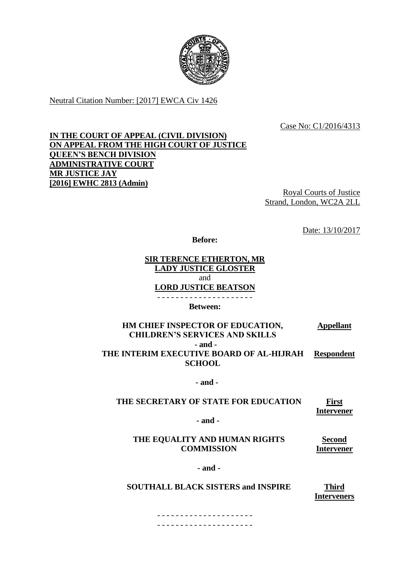

Neutral Citation Number: [2017] EWCA Civ 1426

Case No: C1/2016/4313

## **IN THE COURT OF APPEAL (CIVIL DIVISION) ON APPEAL FROM THE HIGH COURT OF JUSTICE QUEEN'S BENCH DIVISION ADMINISTRATIVE COURT MR JUSTICE JAY [2016] EWHC 2813 (Admin)**

Royal Courts of Justice Strand, London, WC2A 2LL

Date: 13/10/2017

**Before:**

# **SIR TERENCE ETHERTON, MR LADY JUSTICE GLOSTER** and **LORD JUSTICE BEATSON**

- - - - - - - - - - - - - - - - - - - - -

#### **Between:**

#### **HM CHIEF INSPECTOR OF EDUCATION, CHILDREN'S SERVICES AND SKILLS Appellant - and - THE INTERIM EXECUTIVE BOARD OF AL-HIJRAH SCHOOL Respondent**

#### **- and -**

#### **THE SECRETARY OF STATE FOR EDUCATION First**

**Intervener**

 **- and -**

**THE EQUALITY AND HUMAN RIGHTS COMMISSION**

**Second Intervener**

**- and -**

#### **SOUTHALL BLACK SISTERS and INSPIRE**

**Third Interveners**

- - - - - - - - - - - - - - - - - - - - - - - - - - - - - - - - - - - - - - - - - -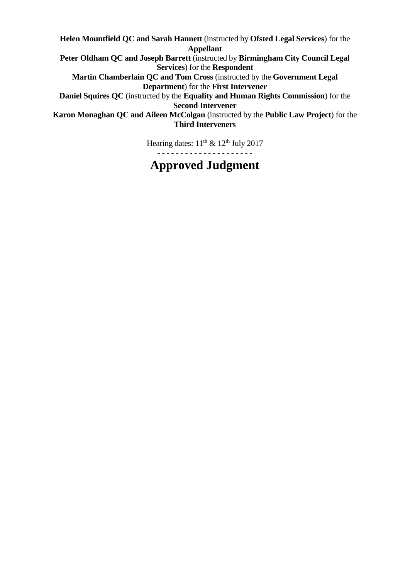**Helen Mountfield QC and Sarah Hannett** (instructed by **Ofsted Legal Services**) for the **Appellant Peter Oldham QC and Joseph Barrett** (instructed by **Birmingham City Council Legal Services**) for the **Respondent Martin Chamberlain QC and Tom Cross** (instructed by the **Government Legal Department**) for the **First Intervener Daniel Squires QC** (instructed by the **Equality and Human Rights Commission**) for the **Second Intervener Karon Monaghan QC and Aileen McColgan** (instructed by the **Public Law Project**) for the **Third Interveners**

Hearing dates:  $11^{th}$  &  $12^{th}$  July 2017

- - - - - - - - - - - - - - - - - - - -

**Approved Judgment**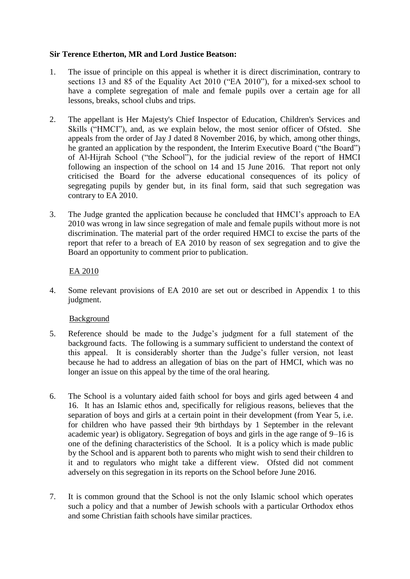## **Sir Terence Etherton, MR and Lord Justice Beatson:**

- 1. The issue of principle on this appeal is whether it is direct discrimination, contrary to sections 13 and 85 of the Equality Act 2010 ("EA 2010"), for a mixed-sex school to have a complete segregation of male and female pupils over a certain age for all lessons, breaks, school clubs and trips.
- 2. The appellant is Her Majesty's Chief Inspector of Education, Children's Services and Skills ("HMCI"), and, as we explain below, the most senior officer of Ofsted. She appeals from the order of Jay J dated 8 November 2016, by which, among other things, he granted an application by the respondent, the Interim Executive Board ("the Board") of Al-Hijrah School ("the School"), for the judicial review of the report of HMCI following an inspection of the school on 14 and 15 June 2016. That report not only criticised the Board for the adverse educational consequences of its policy of segregating pupils by gender but, in its final form, said that such segregation was contrary to EA 2010.
- 3. The Judge granted the application because he concluded that HMCI's approach to EA 2010 was wrong in law since segregation of male and female pupils without more is not discrimination. The material part of the order required HMCI to excise the parts of the report that refer to a breach of EA 2010 by reason of sex segregation and to give the Board an opportunity to comment prior to publication.

## EA 2010

4. Some relevant provisions of EA 2010 are set out or described in Appendix 1 to this judgment.

## **Background**

- 5. Reference should be made to the Judge's judgment for a full statement of the background facts. The following is a summary sufficient to understand the context of this appeal. It is considerably shorter than the Judge's fuller version, not least because he had to address an allegation of bias on the part of HMCI, which was no longer an issue on this appeal by the time of the oral hearing.
- 6. The School is a voluntary aided faith school for boys and girls aged between 4 and 16. It has an Islamic ethos and, specifically for religious reasons, believes that the separation of boys and girls at a certain point in their development (from Year 5, i.e. for children who have passed their 9th birthdays by 1 September in the relevant academic year) is obligatory. Segregation of boys and girls in the age range of 9–16 is one of the defining characteristics of the School. It is a policy which is made public by the School and is apparent both to parents who might wish to send their children to it and to regulators who might take a different view. Ofsted did not comment adversely on this segregation in its reports on the School before June 2016.
- 7. It is common ground that the School is not the only Islamic school which operates such a policy and that a number of Jewish schools with a particular Orthodox ethos and some Christian faith schools have similar practices.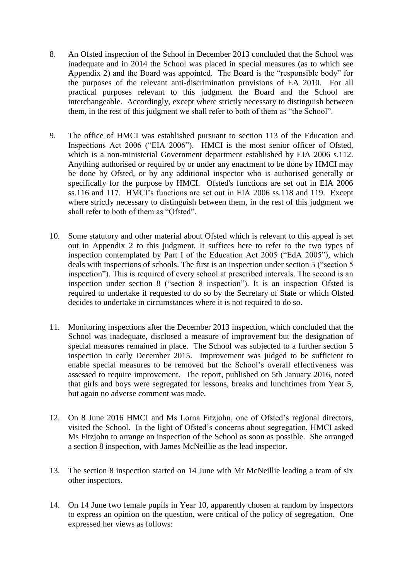- 8. An Ofsted inspection of the School in December 2013 concluded that the School was inadequate and in 2014 the School was placed in special measures (as to which see Appendix 2) and the Board was appointed. The Board is the "responsible body" for the purposes of the relevant anti-discrimination provisions of EA 2010. For all practical purposes relevant to this judgment the Board and the School are interchangeable. Accordingly, except where strictly necessary to distinguish between them, in the rest of this judgment we shall refer to both of them as "the School".
- 9. The office of HMCI was established pursuant to section 113 of the Education and Inspections Act 2006 ("EIA 2006"). HMCI is the most senior officer of Ofsted, which is a non-ministerial Government department established by EIA 2006 s.112. Anything authorised or required by or under any enactment to be done by HMCI may be done by Ofsted, or by any additional inspector who is authorised generally or specifically for the purpose by HMCI. Ofsted's functions are set out in EIA 2006 ss.116 and 117. HMCI's functions are set out in EIA 2006 ss.118 and 119. Except where strictly necessary to distinguish between them, in the rest of this judgment we shall refer to both of them as "Ofsted".
- 10. Some statutory and other material about Ofsted which is relevant to this appeal is set out in Appendix 2 to this judgment. It suffices here to refer to the two types of inspection contemplated by Part I of the Education Act 2005 ("EdA 2005"), which deals with inspections of schools. The first is an inspection under section 5 ("section 5 inspection"). This is required of every school at prescribed intervals. The second is an inspection under section 8 ("section 8 inspection"). It is an inspection Ofsted is required to undertake if requested to do so by the Secretary of State or which Ofsted decides to undertake in circumstances where it is not required to do so.
- 11. Monitoring inspections after the December 2013 inspection, which concluded that the School was inadequate, disclosed a measure of improvement but the designation of special measures remained in place. The School was subjected to a further section 5 inspection in early December 2015. Improvement was judged to be sufficient to enable special measures to be removed but the School's overall effectiveness was assessed to require improvement. The report, published on 5th January 2016, noted that girls and boys were segregated for lessons, breaks and lunchtimes from Year 5, but again no adverse comment was made.
- 12. On 8 June 2016 HMCI and Ms Lorna Fitzjohn, one of Ofsted's regional directors, visited the School. In the light of Ofsted's concerns about segregation, HMCI asked Ms Fitzjohn to arrange an inspection of the School as soon as possible. She arranged a section 8 inspection, with James McNeillie as the lead inspector.
- 13. The section 8 inspection started on 14 June with Mr McNeillie leading a team of six other inspectors.
- 14. On 14 June two female pupils in Year 10, apparently chosen at random by inspectors to express an opinion on the question, were critical of the policy of segregation. One expressed her views as follows: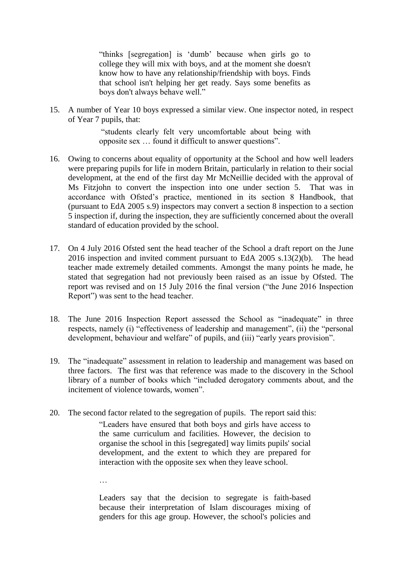"thinks [segregation] is 'dumb' because when girls go to college they will mix with boys, and at the moment she doesn't know how to have any relationship/friendship with boys. Finds that school isn't helping her get ready. Says some benefits as boys don't always behave well."

15. A number of Year 10 boys expressed a similar view. One inspector noted, in respect of Year 7 pupils, that:

> "students clearly felt very uncomfortable about being with opposite sex … found it difficult to answer questions".

- 16. Owing to concerns about equality of opportunity at the School and how well leaders were preparing pupils for life in modern Britain, particularly in relation to their social development, at the end of the first day Mr McNeillie decided with the approval of Ms Fitzjohn to convert the inspection into one under section 5. That was in accordance with Ofsted's practice, mentioned in its section 8 Handbook, that (pursuant to EdA 2005 s.9) inspectors may convert a section 8 inspection to a section 5 inspection if, during the inspection, they are sufficiently concerned about the overall standard of education provided by the school.
- 17. On 4 July 2016 Ofsted sent the head teacher of the School a draft report on the June 2016 inspection and invited comment pursuant to EdA 2005 s.13(2)(b). The head teacher made extremely detailed comments. Amongst the many points he made, he stated that segregation had not previously been raised as an issue by Ofsted. The report was revised and on 15 July 2016 the final version ("the June 2016 Inspection Report") was sent to the head teacher.
- 18. The June 2016 Inspection Report assessed the School as "inadequate" in three respects, namely (i) "effectiveness of leadership and management", (ii) the "personal development, behaviour and welfare" of pupils, and (iii) "early years provision".
- 19. The "inadequate" assessment in relation to leadership and management was based on three factors. The first was that reference was made to the discovery in the School library of a number of books which "included derogatory comments about, and the incitement of violence towards, women".
- 20. The second factor related to the segregation of pupils. The report said this: "Leaders have ensured that both boys and girls have access to the same curriculum and facilities. However, the decision to organise the school in this [segregated] way limits pupils' social development, and the extent to which they are prepared for interaction with the opposite sex when they leave school.

…

Leaders say that the decision to segregate is faith-based because their interpretation of Islam discourages mixing of genders for this age group. However, the school's policies and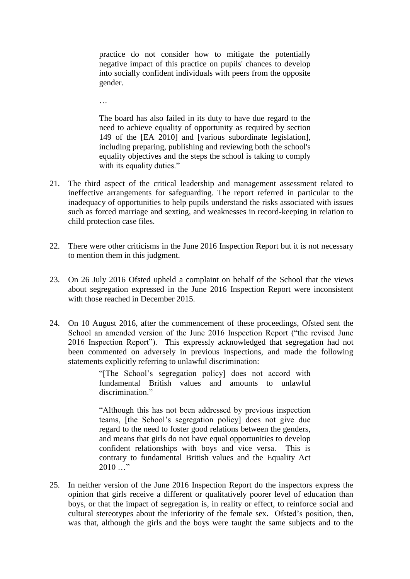practice do not consider how to mitigate the potentially negative impact of this practice on pupils' chances to develop into socially confident individuals with peers from the opposite gender.

…

The board has also failed in its duty to have due regard to the need to achieve equality of opportunity as required by section 149 of the [EA 2010] and [various subordinate legislation], including preparing, publishing and reviewing both the school's equality objectives and the steps the school is taking to comply with its equality duties."

- 21. The third aspect of the critical leadership and management assessment related to ineffective arrangements for safeguarding. The report referred in particular to the inadequacy of opportunities to help pupils understand the risks associated with issues such as forced marriage and sexting, and weaknesses in record-keeping in relation to child protection case files.
- 22. There were other criticisms in the June 2016 Inspection Report but it is not necessary to mention them in this judgment.
- 23. On 26 July 2016 Ofsted upheld a complaint on behalf of the School that the views about segregation expressed in the June 2016 Inspection Report were inconsistent with those reached in December 2015.
- 24. On 10 August 2016, after the commencement of these proceedings, Ofsted sent the School an amended version of the June 2016 Inspection Report ("the revised June 2016 Inspection Report"). This expressly acknowledged that segregation had not been commented on adversely in previous inspections, and made the following statements explicitly referring to unlawful discrimination:

"[The School's segregation policy] does not accord with fundamental British values and amounts to unlawful discrimination."

"Although this has not been addressed by previous inspection teams, [the School's segregation policy] does not give due regard to the need to foster good relations between the genders, and means that girls do not have equal opportunities to develop confident relationships with boys and vice versa. This is contrary to fundamental British values and the Equality Act  $2010...$ "

25. In neither version of the June 2016 Inspection Report do the inspectors express the opinion that girls receive a different or qualitatively poorer level of education than boys, or that the impact of segregation is, in reality or effect, to reinforce social and cultural stereotypes about the inferiority of the female sex. Ofsted's position, then, was that, although the girls and the boys were taught the same subjects and to the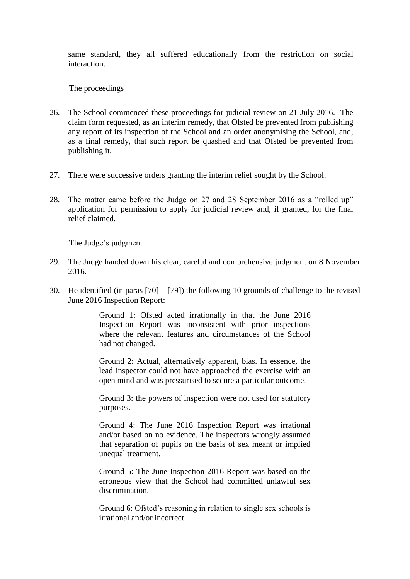same standard, they all suffered educationally from the restriction on social interaction.

#### The proceedings

- 26. The School commenced these proceedings for judicial review on 21 July 2016. The claim form requested, as an interim remedy, that Ofsted be prevented from publishing any report of its inspection of the School and an order anonymising the School, and, as a final remedy, that such report be quashed and that Ofsted be prevented from publishing it.
- 27. There were successive orders granting the interim relief sought by the School.
- 28. The matter came before the Judge on 27 and 28 September 2016 as a "rolled up" application for permission to apply for judicial review and, if granted, for the final relief claimed.

#### The Judge's judgment

- 29. The Judge handed down his clear, careful and comprehensive judgment on 8 November 2016.
- 30. He identified (in paras [70] [79]) the following 10 grounds of challenge to the revised June 2016 Inspection Report:

Ground 1: Ofsted acted irrationally in that the June 2016 Inspection Report was inconsistent with prior inspections where the relevant features and circumstances of the School had not changed.

Ground 2: Actual, alternatively apparent, bias. In essence, the lead inspector could not have approached the exercise with an open mind and was pressurised to secure a particular outcome.

Ground 3: the powers of inspection were not used for statutory purposes.

Ground 4: The June 2016 Inspection Report was irrational and/or based on no evidence. The inspectors wrongly assumed that separation of pupils on the basis of sex meant or implied unequal treatment.

Ground 5: The June Inspection 2016 Report was based on the erroneous view that the School had committed unlawful sex discrimination.

Ground 6: Ofsted's reasoning in relation to single sex schools is irrational and/or incorrect.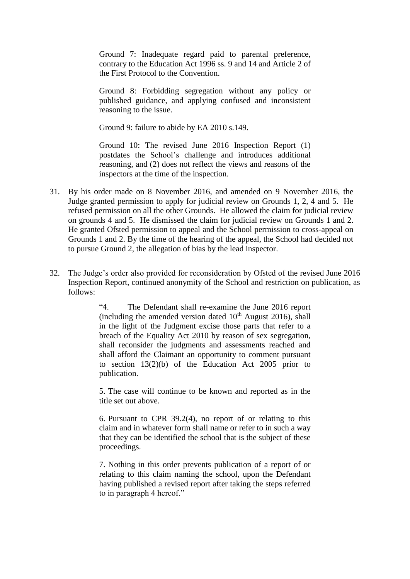Ground 7: Inadequate regard paid to parental preference, contrary to the Education Act 1996 ss. 9 and 14 and Article 2 of the First Protocol to the Convention.

Ground 8: Forbidding segregation without any policy or published guidance, and applying confused and inconsistent reasoning to the issue.

Ground 9: failure to abide by EA 2010 s.149.

Ground 10: The revised June 2016 Inspection Report (1) postdates the School's challenge and introduces additional reasoning, and (2) does not reflect the views and reasons of the inspectors at the time of the inspection.

- 31. By his order made on 8 November 2016, and amended on 9 November 2016, the Judge granted permission to apply for judicial review on Grounds 1, 2, 4 and 5. He refused permission on all the other Grounds. He allowed the claim for judicial review on grounds 4 and 5. He dismissed the claim for judicial review on Grounds 1 and 2. He granted Ofsted permission to appeal and the School permission to cross-appeal on Grounds 1 and 2. By the time of the hearing of the appeal, the School had decided not to pursue Ground 2, the allegation of bias by the lead inspector.
- 32. The Judge's order also provided for reconsideration by Ofsted of the revised June 2016 Inspection Report, continued anonymity of the School and restriction on publication, as follows:

"4. The Defendant shall re-examine the June 2016 report (including the amended version dated  $10<sup>th</sup>$  August 2016), shall in the light of the Judgment excise those parts that refer to a breach of the Equality Act 2010 by reason of sex segregation, shall reconsider the judgments and assessments reached and shall afford the Claimant an opportunity to comment pursuant to section 13(2)(b) of the Education Act 2005 prior to publication.

5. The case will continue to be known and reported as in the title set out above.

6. Pursuant to CPR 39.2(4), no report of or relating to this claim and in whatever form shall name or refer to in such a way that they can be identified the school that is the subject of these proceedings.

7. Nothing in this order prevents publication of a report of or relating to this claim naming the school, upon the Defendant having published a revised report after taking the steps referred to in paragraph 4 hereof."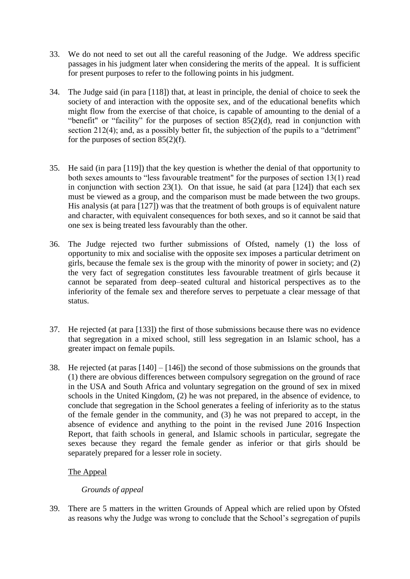- 33. We do not need to set out all the careful reasoning of the Judge. We address specific passages in his judgment later when considering the merits of the appeal. It is sufficient for present purposes to refer to the following points in his judgment.
- 34. The Judge said (in para [118]) that, at least in principle, the denial of choice to seek the society of and interaction with the opposite sex, and of the educational benefits which might flow from the exercise of that choice, is capable of amounting to the denial of a "benefit" or "facility" for the purposes of section 85(2)(d), read in conjunction with section 212(4); and, as a possibly better fit, the subjection of the pupils to a "detriment" for the purposes of section 85(2)(f).
- 35. He said (in para [119]) that the key question is whether the denial of that opportunity to both sexes amounts to "less favourable treatment" for the purposes of section 13(1) read in conjunction with section 23(1). On that issue, he said (at para [124]) that each sex must be viewed as a group, and the comparison must be made between the two groups. His analysis (at para  $\overline{127}$ ) was that the treatment of both groups is of equivalent nature and character, with equivalent consequences for both sexes, and so it cannot be said that one sex is being treated less favourably than the other.
- 36. The Judge rejected two further submissions of Ofsted, namely (1) the loss of opportunity to mix and socialise with the opposite sex imposes a particular detriment on girls, because the female sex is the group with the minority of power in society; and (2) the very fact of segregation constitutes less favourable treatment of girls because it cannot be separated from deep–seated cultural and historical perspectives as to the inferiority of the female sex and therefore serves to perpetuate a clear message of that status.
- 37. He rejected (at para [133]) the first of those submissions because there was no evidence that segregation in a mixed school, still less segregation in an Islamic school, has a greater impact on female pupils.
- 38. He rejected (at paras  $[140] [146]$ ) the second of those submissions on the grounds that (1) there are obvious differences between compulsory segregation on the ground of race in the USA and South Africa and voluntary segregation on the ground of sex in mixed schools in the United Kingdom, (2) he was not prepared, in the absence of evidence, to conclude that segregation in the School generates a feeling of inferiority as to the status of the female gender in the community, and (3) he was not prepared to accept, in the absence of evidence and anything to the point in the revised June 2016 Inspection Report, that faith schools in general, and Islamic schools in particular, segregate the sexes because they regard the female gender as inferior or that girls should be separately prepared for a lesser role in society.

## The Appeal

# *Grounds of appeal*

39. There are 5 matters in the written Grounds of Appeal which are relied upon by Ofsted as reasons why the Judge was wrong to conclude that the School's segregation of pupils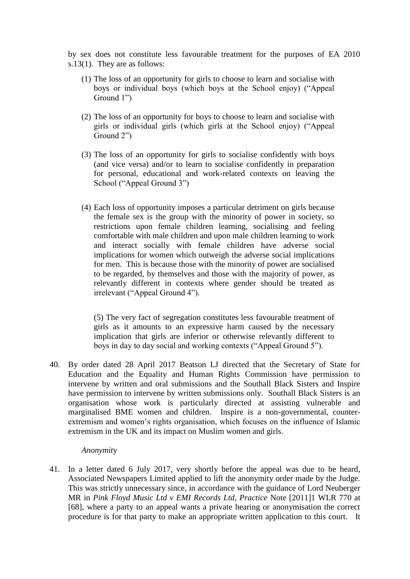by sex does not constitute less favourable treatment for the purposes of EA 2010 s.13(1). They are as follows:

- (1) The loss of an opportunity for girls to choose to learn and socialise with boys or individual boys (which boys at the School enjoy) ("Appeal Ground 1")
- (2) The loss of an opportunity for boys to choose to learn and socialise with girls or individual girls (which girls at the School enjoy) ("Appeal Ground 2")
- (3) The loss of an opportunity for girls to socialise confidently with boys (and vice versa) and/or to learn to socialise confidently in preparation for personal, educational and work-related contexts on leaving the School ("Appeal Ground 3")
- (4) Each loss of opportunity imposes a particular detriment on girls because the female sex is the group with the minority of power in society, so restrictions upon female children learning, socialising and feeling comfortable with male children and upon male children learning to work and interact socially with female children have adverse social implications for women which outweigh the adverse social implications for men. This is because those with the minority of power are socialised to be regarded, by themselves and those with the majority of power, as relevantly different in contexts where gender should be treated as irrelevant ("Appeal Ground 4").

(5) The very fact of segregation constitutes less favourable treatment of girls as it amounts to an expressive harm caused by the necessary implication that girls are inferior or otherwise relevantly different to boys in day to day social and working contexts ("Appeal Ground 5").

40. By order dated 28 April 2017 Beatson LJ directed that the Secretary of State for Education and the Equality and Human Rights Commission have permission to intervene by written and oral submissions and the Southall Black Sisters and Inspire have permission to intervene by written submissions only. Southall Black Sisters is an organisation whose work is particularly directed at assisting vulnerable and marginalised BME women and children. Inspire is a non-governmental, counterextremism and women's rights organisation, which focuses on the influence of Islamic extremism in the UK and its impact on Muslim women and girls.

#### *Anonymit*y

41. In a letter dated 6 July 2017, very shortly before the appeal was due to be heard, Associated Newspapers Limited applied to lift the anonymity order made by the Judge. This was strictly unnecessary since, in accordance with the guidance of Lord Neuberger MR in *Pink Floyd Music Ltd v EMI Records Ltd, Practice* Note [2011]1 WLR 770 at [68], where a party to an appeal wants a private hearing or anonymisation the correct procedure is for that party to make an appropriate written application to this court. It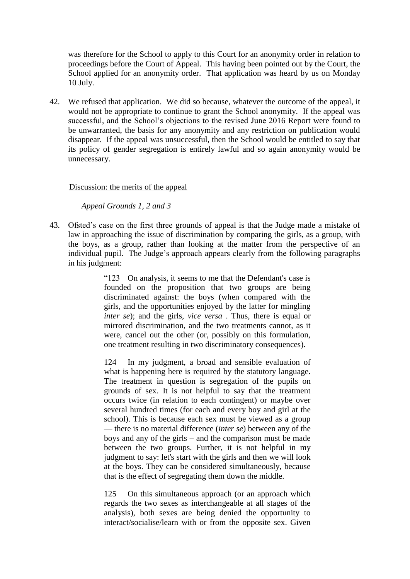was therefore for the School to apply to this Court for an anonymity order in relation to proceedings before the Court of Appeal. This having been pointed out by the Court, the School applied for an anonymity order. That application was heard by us on Monday 10 July.

42. We refused that application. We did so because, whatever the outcome of the appeal, it would not be appropriate to continue to grant the School anonymity. If the appeal was successful, and the School's objections to the revised June 2016 Report were found to be unwarranted, the basis for any anonymity and any restriction on publication would disappear. If the appeal was unsuccessful, then the School would be entitled to say that its policy of gender segregation is entirely lawful and so again anonymity would be unnecessary.

#### Discussion: the merits of the appeal

*Appeal Grounds 1, 2 and 3*

43. Ofsted's case on the first three grounds of appeal is that the Judge made a mistake of law in approaching the issue of discrimination by comparing the girls, as a group, with the boys, as a group, rather than looking at the matter from the perspective of an individual pupil. The Judge's approach appears clearly from the following paragraphs in his judgment:

> "123 On analysis, it seems to me that the Defendant's case is founded on the proposition that two groups are being discriminated against: the boys (when compared with the girls, and the opportunities enjoyed by the latter for mingling *inter se*); and the girls, *vice versa*. Thus, there is equal or mirrored discrimination, and the two treatments cannot, as it were, cancel out the other (or, possibly on this formulation, one treatment resulting in two discriminatory consequences).

> 124 In my judgment, a broad and sensible evaluation of what is happening here is required by the statutory language. The treatment in question is segregation of the pupils on grounds of sex. It is not helpful to say that the treatment occurs twice (in relation to each contingent) or maybe over several hundred times (for each and every boy and girl at the school). This is because each sex must be viewed as a group — there is no material difference (*inter se*) between any of the boys and any of the girls – and the comparison must be made between the two groups. Further, it is not helpful in my judgment to say: let's start with the girls and then we will look at the boys. They can be considered simultaneously, because that is the effect of segregating them down the middle.

> 125 On this simultaneous approach (or an approach which regards the two sexes as interchangeable at all stages of the analysis), both sexes are being denied the opportunity to interact/socialise/learn with or from the opposite sex. Given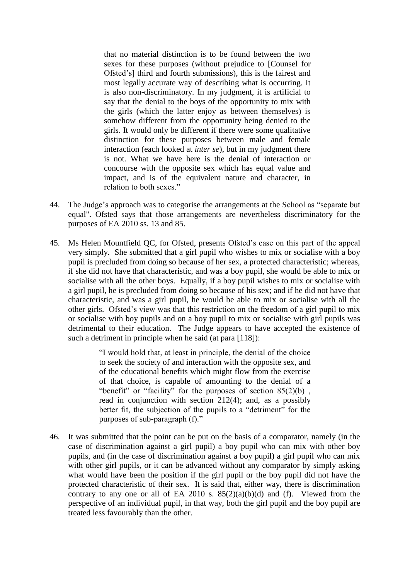that no material distinction is to be found between the two sexes for these purposes (without prejudice to [Counsel for Ofsted's] third and fourth submissions), this is the fairest and most legally accurate way of describing what is occurring. It is also non-discriminatory. In my judgment, it is artificial to say that the denial to the boys of the opportunity to mix with the girls (which the latter enjoy as between themselves) is somehow different from the opportunity being denied to the girls. It would only be different if there were some qualitative distinction for these purposes between male and female interaction (each looked at *inter se*), but in my judgment there is not. What we have here is the denial of interaction or concourse with the opposite sex which has equal value and impact, and is of the equivalent nature and character, in relation to both sexes."

- 44. The Judge's approach was to categorise the arrangements at the School as "separate but equal". Ofsted says that those arrangements are nevertheless discriminatory for the purposes of EA 2010 ss. 13 and 85.
- 45. Ms Helen Mountfield QC, for Ofsted, presents Ofsted's case on this part of the appeal very simply. She submitted that a girl pupil who wishes to mix or socialise with a boy pupil is precluded from doing so because of her sex, a protected characteristic; whereas, if she did not have that characteristic, and was a boy pupil, she would be able to mix or socialise with all the other boys. Equally, if a boy pupil wishes to mix or socialise with a girl pupil, he is precluded from doing so because of his sex; and if he did not have that characteristic, and was a girl pupil, he would be able to mix or socialise with all the other girls. Ofsted's view was that this restriction on the freedom of a girl pupil to mix or socialise with boy pupils and on a boy pupil to mix or socialise with girl pupils was detrimental to their education. The Judge appears to have accepted the existence of such a detriment in principle when he said (at para [118]):

"I would hold that, at least in principle, the denial of the choice to seek the society of and interaction with the opposite sex, and of the educational benefits which might flow from the exercise of that choice, is capable of amounting to the denial of a "benefit" or "facility" for the purposes of section  $85(2)(b)$ , read in conjunction with section 212(4); and, as a possibly better fit, the subjection of the pupils to a "detriment" for the purposes of sub-paragraph (f)."

46. It was submitted that the point can be put on the basis of a comparator, namely (in the case of discrimination against a girl pupil) a boy pupil who can mix with other boy pupils, and (in the case of discrimination against a boy pupil) a girl pupil who can mix with other girl pupils, or it can be advanced without any comparator by simply asking what would have been the position if the girl pupil or the boy pupil did not have the protected characteristic of their sex. It is said that, either way, there is discrimination contrary to any one or all of EA 2010 s.  $85(2)(a)(b)(d)$  and (f). Viewed from the perspective of an individual pupil, in that way, both the girl pupil and the boy pupil are treated less favourably than the other.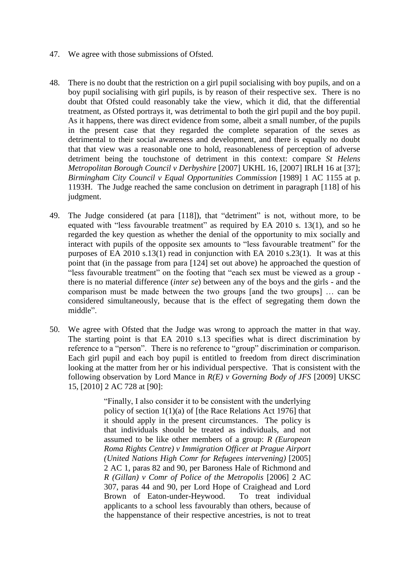- 47. We agree with those submissions of Ofsted.
- 48. There is no doubt that the restriction on a girl pupil socialising with boy pupils, and on a boy pupil socialising with girl pupils, is by reason of their respective sex. There is no doubt that Ofsted could reasonably take the view, which it did, that the differential treatment, as Ofsted portrays it, was detrimental to both the girl pupil and the boy pupil. As it happens, there was direct evidence from some, albeit a small number, of the pupils in the present case that they regarded the complete separation of the sexes as detrimental to their social awareness and development, and there is equally no doubt that that view was a reasonable one to hold, reasonableness of perception of adverse detriment being the touchstone of detriment in this context: compare *St Helens Metropolitan Borough Council v Derbyshire* [2007] UKHL 16, [2007] IRLH 16 at [37]; *Birmingham City Council v Equal Opportunities Commission* [1989] 1 AC 1155 at p. 1193H. The Judge reached the same conclusion on detriment in paragraph [118] of his judgment.
- 49. The Judge considered (at para [118]), that "detriment" is not, without more, to be equated with "less favourable treatment" as required by EA 2010 s. 13(1), and so he regarded the key question as whether the denial of the opportunity to mix socially and interact with pupils of the opposite sex amounts to "less favourable treatment" for the purposes of EA 2010 s.13(1) read in conjunction with EA 2010 s.23(1). It was at this point that (in the passage from para [124] set out above) he approached the question of "less favourable treatment" on the footing that "each sex must be viewed as a group there is no material difference (*inter se*) between any of the boys and the girls - and the comparison must be made between the two groups [and the two groups] … can be considered simultaneously, because that is the effect of segregating them down the middle".
- 50. We agree with Ofsted that the Judge was wrong to approach the matter in that way. The starting point is that EA 2010 s.13 specifies what is direct discrimination by reference to a "person". There is no reference to "group" discrimination or comparison. Each girl pupil and each boy pupil is entitled to freedom from direct discrimination looking at the matter from her or his individual perspective. That is consistent with the following observation by Lord Mance in *R(E) v Governing Body of JFS* [2009] UKSC 15, [2010] 2 AC 728 at [90]:

"Finally, I also consider it to be consistent with the underlying policy of section 1(1)(a) of [the Race Relations Act 1976] that it should apply in the present circumstances. The policy is that individuals should be treated as individuals, and not assumed to be like other members of a group: *R (European Roma Rights Centre) v Immigration Officer at Prague Airport (United Nations High Comr for Refugees intervening)* [2005] 2 AC 1, paras 82 and 90, per Baroness Hale of Richmond and *R (Gillan) v Comr of Police of the Metropolis* [2006] 2 AC 307, paras 44 and 90, per Lord Hope of Craighead and Lord Brown of Eaton-under-Heywood. To treat individual applicants to a school less favourably than others, because of the happenstance of their respective ancestries, is not to treat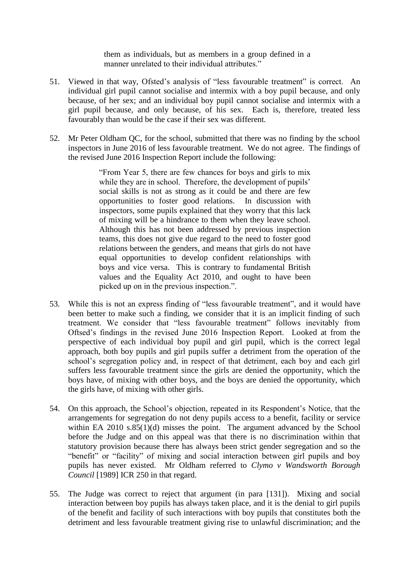them as individuals, but as members in a group defined in a manner unrelated to their individual attributes."

- 51. Viewed in that way, Ofsted's analysis of "less favourable treatment" is correct. An individual girl pupil cannot socialise and intermix with a boy pupil because, and only because, of her sex; and an individual boy pupil cannot socialise and intermix with a girl pupil because, and only because, of his sex. Each is, therefore, treated less favourably than would be the case if their sex was different.
- 52. Mr Peter Oldham QC, for the school, submitted that there was no finding by the school inspectors in June 2016 of less favourable treatment. We do not agree. The findings of the revised June 2016 Inspection Report include the following:

"From Year 5, there are few chances for boys and girls to mix while they are in school. Therefore, the development of pupils' social skills is not as strong as it could be and there are few opportunities to foster good relations. In discussion with inspectors, some pupils explained that they worry that this lack of mixing will be a hindrance to them when they leave school. Although this has not been addressed by previous inspection teams, this does not give due regard to the need to foster good relations between the genders, and means that girls do not have equal opportunities to develop confident relationships with boys and vice versa. This is contrary to fundamental British values and the Equality Act 2010, and ought to have been picked up on in the previous inspection.".

- 53. While this is not an express finding of "less favourable treatment", and it would have been better to make such a finding, we consider that it is an implicit finding of such treatment. We consider that "less favourable treatment" follows inevitably from Oftsed's findings in the revised June 2016 Inspection Report. Looked at from the perspective of each individual boy pupil and girl pupil, which is the correct legal approach, both boy pupils and girl pupils suffer a detriment from the operation of the school's segregation policy and, in respect of that detriment, each boy and each girl suffers less favourable treatment since the girls are denied the opportunity, which the boys have, of mixing with other boys, and the boys are denied the opportunity, which the girls have, of mixing with other girls.
- 54. On this approach, the School's objection, repeated in its Respondent's Notice, that the arrangements for segregation do not deny pupils access to a benefit, facility or service within EA 2010 s.85(1)(d) misses the point. The argument advanced by the School before the Judge and on this appeal was that there is no discrimination within that statutory provision because there has always been strict gender segregation and so the "benefit" or "facility" of mixing and social interaction between girl pupils and boy pupils has never existed. Mr Oldham referred to *Clymo v Wandsworth Borough Council* [1989] ICR 250 in that regard.
- 55. The Judge was correct to reject that argument (in para [131]). Mixing and social interaction between boy pupils has always taken place, and it is the denial to girl pupils of the benefit and facility of such interactions with boy pupils that constitutes both the detriment and less favourable treatment giving rise to unlawful discrimination; and the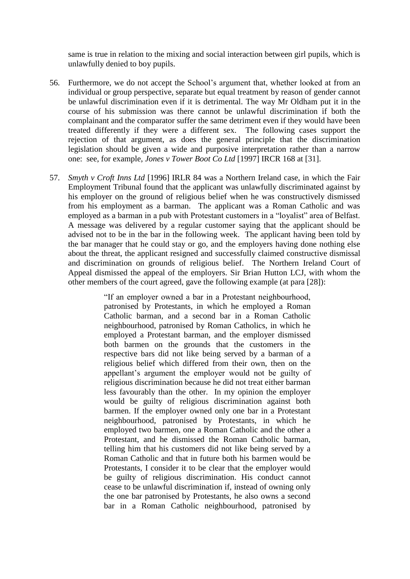same is true in relation to the mixing and social interaction between girl pupils, which is unlawfully denied to boy pupils.

- 56. Furthermore, we do not accept the School's argument that, whether looked at from an individual or group perspective, separate but equal treatment by reason of gender cannot be unlawful discrimination even if it is detrimental. The way Mr Oldham put it in the course of his submission was there cannot be unlawful discrimination if both the complainant and the comparator suffer the same detriment even if they would have been treated differently if they were a different sex. The following cases support the rejection of that argument, as does the general principle that the discrimination legislation should be given a wide and purposive interpretation rather than a narrow one: see, for example, *Jones v Tower Boot Co Ltd* [1997] IRCR 168 at [31].
- 57. *Smyth v Croft Inns Ltd* [1996] IRLR 84 was a Northern Ireland case, in which the Fair Employment Tribunal found that the applicant was unlawfully discriminated against by his employer on the ground of religious belief when he was constructively dismissed from his employment as a barman. The applicant was a Roman Catholic and was employed as a barman in a pub with Protestant customers in a "loyalist" area of Belfast. A message was delivered by a regular customer saying that the applicant should be advised not to be in the bar in the following week. The applicant having been told by the bar manager that he could stay or go, and the employers having done nothing else about the threat, the applicant resigned and successfully claimed constructive dismissal and discrimination on grounds of religious belief. The Northern Ireland Court of Appeal dismissed the appeal of the employers. Sir Brian Hutton LCJ, with whom the other members of the court agreed, gave the following example (at para [28]):

"If an employer owned a bar in a Protestant neighbourhood, patronised by Protestants, in which he employed a Roman Catholic barman, and a second bar in a Roman Catholic neighbourhood, patronised by Roman Catholics, in which he employed a Protestant barman, and the employer dismissed both barmen on the grounds that the customers in the respective bars did not like being served by a barman of a religious belief which differed from their own, then on the appellant's argument the employer would not be guilty of religious discrimination because he did not treat either barman less favourably than the other. In my opinion the employer would be guilty of religious discrimination against both barmen. If the employer owned only one bar in a Protestant neighbourhood, patronised by Protestants, in which he employed two barmen, one a Roman Catholic and the other a Protestant, and he dismissed the Roman Catholic barman, telling him that his customers did not like being served by a Roman Catholic and that in future both his barmen would be Protestants, I consider it to be clear that the employer would be guilty of religious discrimination. His conduct cannot cease to be unlawful discrimination if, instead of owning only the one bar patronised by Protestants, he also owns a second bar in a Roman Catholic neighbourhood, patronised by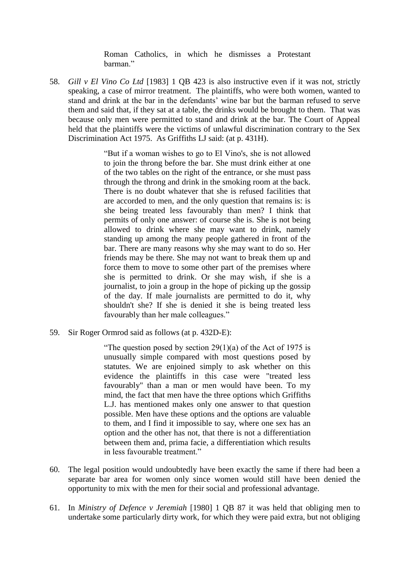Roman Catholics, in which he dismisses a Protestant barman."

58. *Gill v El Vino Co Ltd* [1983] 1 QB 423 is also instructive even if it was not, strictly speaking, a case of mirror treatment. The plaintiffs, who were both women, wanted to stand and drink at the bar in the defendants' wine bar but the barman refused to serve them and said that, if they sat at a table, the drinks would be brought to them. That was because only men were permitted to stand and drink at the bar. The Court of Appeal held that the plaintiffs were the victims of unlawful discrimination contrary to the Sex Discrimination Act 1975. As Griffiths LJ said: (at p. 431H).

> "But if a woman wishes to go to El Vino's, she is not allowed to join the throng before the bar. She must drink either at one of the two tables on the right of the entrance, or she must pass through the throng and drink in the smoking room at the back. There is no doubt whatever that she is refused facilities that are accorded to men, and the only question that remains is: is she being treated less favourably than men? I think that permits of only one answer: of course she is. She is not being allowed to drink where she may want to drink, namely standing up among the many people gathered in front of the bar. There are many reasons why she may want to do so. Her friends may be there. She may not want to break them up and force them to move to some other part of the premises where she is permitted to drink. Or she may wish, if she is a journalist, to join a group in the hope of picking up the gossip of the day. If male journalists are permitted to do it, why shouldn't she? If she is denied it she is being treated less favourably than her male colleagues."

59. Sir Roger Ormrod said as follows (at p. 432D-E):

"The question posed by section  $29(1)(a)$  of the Act of 1975 is unusually simple compared with most questions posed by statutes. We are enjoined simply to ask whether on this evidence the plaintiffs in this case were "treated less favourably" than a man or men would have been. To my mind, the fact that men have the three options which Griffiths L.J. has mentioned makes only one answer to that question possible. Men have these options and the options are valuable to them, and I find it impossible to say, where one sex has an option and the other has not, that there is not a differentiation between them and, prima facie, a differentiation which results in less favourable treatment."

- 60. The legal position would undoubtedly have been exactly the same if there had been a separate bar area for women only since women would still have been denied the opportunity to mix with the men for their social and professional advantage.
- 61. In *Ministry of Defence v Jeremiah* [1980] 1 QB 87 it was held that obliging men to undertake some particularly dirty work, for which they were paid extra, but not obliging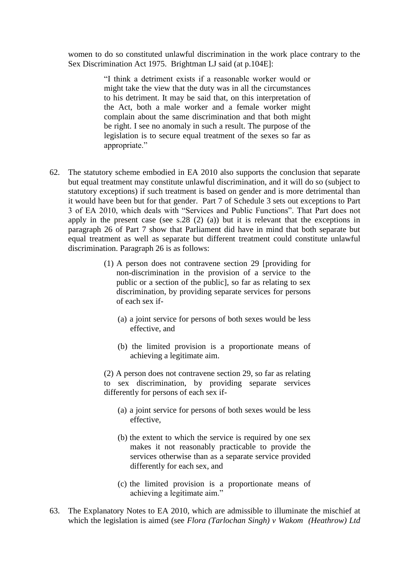women to do so constituted unlawful discrimination in the work place contrary to the Sex Discrimination Act 1975. Brightman LJ said (at p.104E]:

> "I think a detriment exists if a reasonable worker would or might take the view that the duty was in all the circumstances to his detriment. It may be said that, on this interpretation of the Act, both a male worker and a female worker might complain about the same discrimination and that both might be right. I see no anomaly in such a result. The purpose of the legislation is to secure equal treatment of the sexes so far as appropriate."

- 62. The statutory scheme embodied in EA 2010 also supports the conclusion that separate but equal treatment may constitute unlawful discrimination, and it will do so (subject to statutory exceptions) if such treatment is based on gender and is more detrimental than it would have been but for that gender. Part 7 of Schedule 3 sets out exceptions to Part 3 of EA 2010, which deals with "Services and Public Functions". That Part does not apply in the present case (see s.28 (2) (a)) but it is relevant that the exceptions in paragraph 26 of Part 7 show that Parliament did have in mind that both separate but equal treatment as well as separate but different treatment could constitute unlawful discrimination. Paragraph 26 is as follows:
	- (1) A person does not contravene section 29 [providing for non-discrimination in the provision of a service to the public or a section of the public], so far as relating to sex discrimination, by providing separate services for persons of each sex if-
		- (a) a joint service for persons of both sexes would be less effective, and
		- (b) the limited provision is a proportionate means of achieving a legitimate aim.

(2) A person does not contravene section 29, so far as relating to sex discrimination, by providing separate services differently for persons of each sex if-

- (a) a joint service for persons of both sexes would be less effective,
- (b) the extent to which the service is required by one sex makes it not reasonably practicable to provide the services otherwise than as a separate service provided differently for each sex, and
- (c) the limited provision is a proportionate means of achieving a legitimate aim."
- 63. The Explanatory Notes to EA 2010, which are admissible to illuminate the mischief at which the legislation is aimed (see *Flora (Tarlochan Singh) v Wakom (Heathrow) Ltd*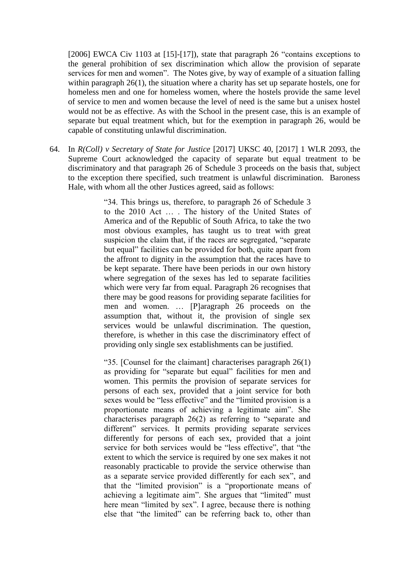[2006] EWCA Civ 1103 at [15]-[17]), state that paragraph 26 "contains exceptions to the general prohibition of sex discrimination which allow the provision of separate services for men and women". The Notes give, by way of example of a situation falling within paragraph 26(1), the situation where a charity has set up separate hostels, one for homeless men and one for homeless women, where the hostels provide the same level of service to men and women because the level of need is the same but a unisex hostel would not be as effective. As with the School in the present case, this is an example of separate but equal treatment which, but for the exemption in paragraph 26, would be capable of constituting unlawful discrimination.

64. In *R(Coll) v Secretary of State for Justice* [2017] UKSC 40, [2017] 1 WLR 2093, the Supreme Court acknowledged the capacity of separate but equal treatment to be discriminatory and that paragraph 26 of Schedule 3 proceeds on the basis that, subject to the exception there specified, such treatment is unlawful discrimination. Baroness Hale, with whom all the other Justices agreed, said as follows:

> "34. This brings us, therefore, to paragraph 26 of Schedule 3 to the 2010 Act … . The history of the United States of America and of the Republic of South Africa, to take the two most obvious examples, has taught us to treat with great suspicion the claim that, if the races are segregated, "separate but equal" facilities can be provided for both, quite apart from the affront to dignity in the assumption that the races have to be kept separate. There have been periods in our own history where segregation of the sexes has led to separate facilities which were very far from equal. Paragraph 26 recognises that there may be good reasons for providing separate facilities for men and women. … [P]aragraph 26 proceeds on the assumption that, without it, the provision of single sex services would be unlawful discrimination. The question, therefore, is whether in this case the discriminatory effect of providing only single sex establishments can be justified.

> "35. [Counsel for the claimant] characterises paragraph  $26(1)$ as providing for "separate but equal" facilities for men and women. This permits the provision of separate services for persons of each sex, provided that a joint service for both sexes would be "less effective" and the "limited provision is a proportionate means of achieving a legitimate aim". She characterises paragraph 26(2) as referring to "separate and different" services. It permits providing separate services differently for persons of each sex, provided that a joint service for both services would be "less effective", that "the extent to which the service is required by one sex makes it not reasonably practicable to provide the service otherwise than as a separate service provided differently for each sex", and that the "limited provision" is a "proportionate means of achieving a legitimate aim". She argues that "limited" must here mean "limited by sex". I agree, because there is nothing else that "the limited" can be referring back to, other than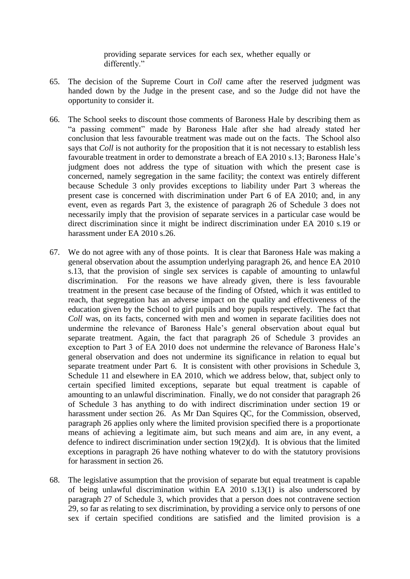providing separate services for each sex, whether equally or differently."

- 65. The decision of the Supreme Court in *Coll* came after the reserved judgment was handed down by the Judge in the present case, and so the Judge did not have the opportunity to consider it.
- 66. The School seeks to discount those comments of Baroness Hale by describing them as "a passing comment" made by Baroness Hale after she had already stated her conclusion that less favourable treatment was made out on the facts. The School also says that *Coll* is not authority for the proposition that it is not necessary to establish less favourable treatment in order to demonstrate a breach of EA 2010 s.13; Baroness Hale's judgment does not address the type of situation with which the present case is concerned, namely segregation in the same facility; the context was entirely different because Schedule 3 only provides exceptions to liability under Part 3 whereas the present case is concerned with discrimination under Part 6 of EA 2010; and, in any event, even as regards Part 3, the existence of paragraph 26 of Schedule 3 does not necessarily imply that the provision of separate services in a particular case would be direct discrimination since it might be indirect discrimination under EA 2010 s.19 or harassment under EA 2010 s.26.
- 67. We do not agree with any of those points. It is clear that Baroness Hale was making a general observation about the assumption underlying paragraph 26, and hence EA 2010 s.13, that the provision of single sex services is capable of amounting to unlawful discrimination. For the reasons we have already given, there is less favourable treatment in the present case because of the finding of Ofsted, which it was entitled to reach, that segregation has an adverse impact on the quality and effectiveness of the education given by the School to girl pupils and boy pupils respectively. The fact that *Coll* was, on its facts, concerned with men and women in separate facilities does not undermine the relevance of Baroness Hale's general observation about equal but separate treatment. Again, the fact that paragraph 26 of Schedule 3 provides an exception to Part 3 of EA 2010 does not undermine the relevance of Baroness Hale's general observation and does not undermine its significance in relation to equal but separate treatment under Part 6. It is consistent with other provisions in Schedule 3, Schedule 11 and elsewhere in EA 2010, which we address below, that, subject only to certain specified limited exceptions, separate but equal treatment is capable of amounting to an unlawful discrimination. Finally, we do not consider that paragraph 26 of Schedule 3 has anything to do with indirect discrimination under section 19 or harassment under section 26. As Mr Dan Squires QC, for the Commission, observed, paragraph 26 applies only where the limited provision specified there is a proportionate means of achieving a legitimate aim, but such means and aim are, in any event, a defence to indirect discrimination under section 19(2)(d). It is obvious that the limited exceptions in paragraph 26 have nothing whatever to do with the statutory provisions for harassment in section 26.
- 68. The legislative assumption that the provision of separate but equal treatment is capable of being unlawful discrimination within EA 2010 s.13(1) is also underscored by paragraph 27 of Schedule 3, which provides that a person does not contravene section 29, so far as relating to sex discrimination, by providing a service only to persons of one sex if certain specified conditions are satisfied and the limited provision is a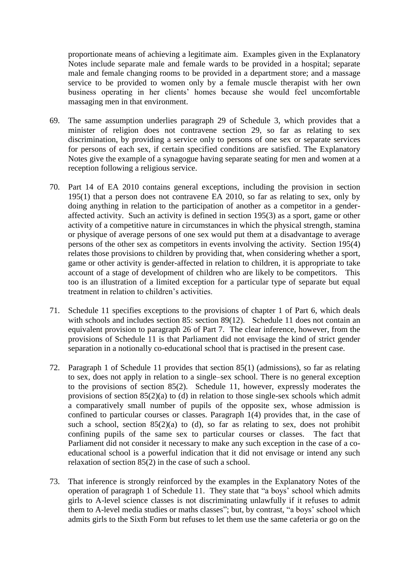proportionate means of achieving a legitimate aim. Examples given in the Explanatory Notes include separate male and female wards to be provided in a hospital; separate male and female changing rooms to be provided in a department store; and a massage service to be provided to women only by a female muscle therapist with her own business operating in her clients' homes because she would feel uncomfortable massaging men in that environment.

- 69. The same assumption underlies paragraph 29 of Schedule 3, which provides that a minister of religion does not contravene section 29, so far as relating to sex discrimination, by providing a service only to persons of one sex or separate services for persons of each sex, if certain specified conditions are satisfied. The Explanatory Notes give the example of a synagogue having separate seating for men and women at a reception following a religious service.
- 70. Part 14 of EA 2010 contains general exceptions, including the provision in section 195(1) that a person does not contravene EA 2010, so far as relating to sex, only by doing anything in relation to the participation of another as a competitor in a genderaffected activity. Such an activity is defined in section 195(3) as a sport, game or other activity of a competitive nature in circumstances in which the physical strength, stamina or physique of average persons of one sex would put them at a disadvantage to average persons of the other sex as competitors in events involving the activity. Section 195(4) relates those provisions to children by providing that, when considering whether a sport, game or other activity is gender-affected in relation to children, it is appropriate to take account of a stage of development of children who are likely to be competitors. This too is an illustration of a limited exception for a particular type of separate but equal treatment in relation to children's activities.
- 71. Schedule 11 specifies exceptions to the provisions of chapter 1 of Part 6, which deals with schools and includes section 85: section 89(12). Schedule 11 does not contain an equivalent provision to paragraph 26 of Part 7. The clear inference, however, from the provisions of Schedule 11 is that Parliament did not envisage the kind of strict gender separation in a notionally co-educational school that is practised in the present case.
- 72. Paragraph 1 of Schedule 11 provides that section 85(1) (admissions), so far as relating to sex, does not apply in relation to a single–sex school. There is no general exception to the provisions of section 85(2). Schedule 11, however, expressly moderates the provisions of section  $85(2)(a)$  to (d) in relation to those single-sex schools which admit a comparatively small number of pupils of the opposite sex, whose admission is confined to particular courses or classes. Paragraph 1(4) provides that, in the case of such a school, section  $85(2)(a)$  to (d), so far as relating to sex, does not prohibit confining pupils of the same sex to particular courses or classes. The fact that Parliament did not consider it necessary to make any such exception in the case of a coeducational school is a powerful indication that it did not envisage or intend any such relaxation of section 85(2) in the case of such a school.
- 73. That inference is strongly reinforced by the examples in the Explanatory Notes of the operation of paragraph 1 of Schedule 11. They state that "a boys' school which admits girls to A-level science classes is not discriminating unlawfully if it refuses to admit them to A-level media studies or maths classes"; but, by contrast, "a boys' school which admits girls to the Sixth Form but refuses to let them use the same cafeteria or go on the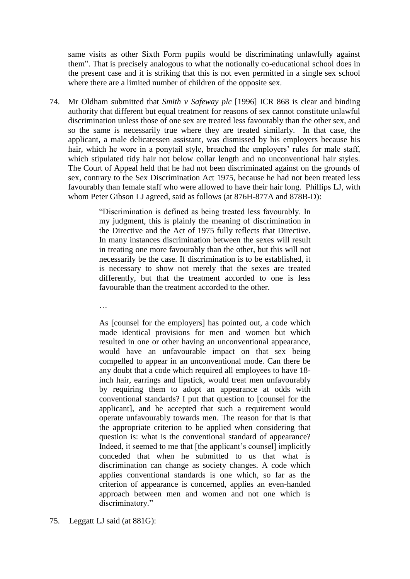same visits as other Sixth Form pupils would be discriminating unlawfully against them". That is precisely analogous to what the notionally co-educational school does in the present case and it is striking that this is not even permitted in a single sex school where there are a limited number of children of the opposite sex.

74. Mr Oldham submitted that *Smith v Safeway plc* [1996] ICR 868 is clear and binding authority that different but equal treatment for reasons of sex cannot constitute unlawful discrimination unless those of one sex are treated less favourably than the other sex, and so the same is necessarily true where they are treated similarly. In that case, the applicant, a male delicatessen assistant, was dismissed by his employers because his hair, which he wore in a ponytail style, breached the employers' rules for male staff, which stipulated tidy hair not below collar length and no unconventional hair styles. The Court of Appeal held that he had not been discriminated against on the grounds of sex, contrary to the Sex Discrimination Act 1975, because he had not been treated less favourably than female staff who were allowed to have their hair long. Phillips LJ, with whom Peter Gibson LJ agreed, said as follows (at 876H-877A and 878B-D):

> "Discrimination is defined as being treated less favourably. In my judgment, this is plainly the meaning of discrimination in the Directive and the Act of 1975 fully reflects that Directive. In many instances discrimination between the sexes will result in treating one more favourably than the other, but this will not necessarily be the case. If discrimination is to be established, it is necessary to show not merely that the sexes are treated differently, but that the treatment accorded to one is less favourable than the treatment accorded to the other.

…

As [counsel for the employers] has pointed out, a code which made identical provisions for men and women but which resulted in one or other having an unconventional appearance, would have an unfavourable impact on that sex being compelled to appear in an unconventional mode. Can there be any doubt that a code which required all employees to have 18 inch hair, earrings and lipstick, would treat men unfavourably by requiring them to adopt an appearance at odds with conventional standards? I put that question to [counsel for the applicant], and he accepted that such a requirement would operate unfavourably towards men. The reason for that is that the appropriate criterion to be applied when considering that question is: what is the conventional standard of appearance? Indeed, it seemed to me that [the applicant's counsel] implicitly conceded that when he submitted to us that what is discrimination can change as society changes. A code which applies conventional standards is one which, so far as the criterion of appearance is concerned, applies an even-handed approach between men and women and not one which is discriminatory."

75. Leggatt LJ said (at 881G):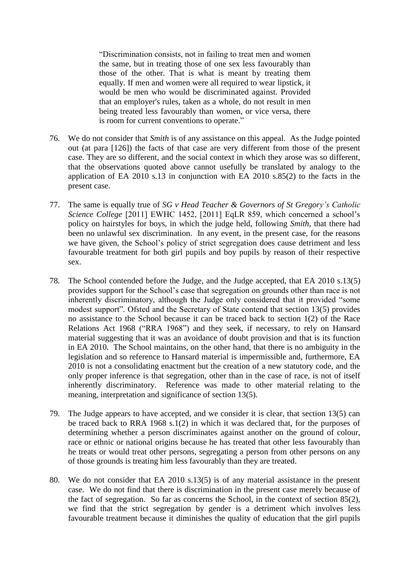"Discrimination consists, not in failing to treat men and women the same, but in treating those of one sex less favourably than those of the other. That is what is meant by treating them equally. If men and women were all required to wear lipstick, it would be men who would be discriminated against. Provided that an employer's rules, taken as a whole, do not result in men being treated less favourably than women, or vice versa, there is room for current conventions to operate."

- 76. We do not consider that *Smith* is of any assistance on this appeal. As the Judge pointed out (at para [126]) the facts of that case are very different from those of the present case. They are so different, and the social context in which they arose was so different, that the observations quoted above cannot usefully be translated by analogy to the application of EA 2010 s.13 in conjunction with EA 2010 s.85(2) to the facts in the present case.
- 77. The same is equally true of *SG v Head Teacher & Governors of St Gregory's Catholic Science College* [2011] EWHC 1452, [2011] EqLR 859, which concerned a school's policy on hairstyles for boys, in which the judge held, following *Smith*, that there had been no unlawful sex discrimination. In any event, in the present case, for the reasons we have given, the School's policy of strict segregation does cause detriment and less favourable treatment for both girl pupils and boy pupils by reason of their respective sex.
- 78. The School contended before the Judge, and the Judge accepted, that EA 2010 s.13(5) provides support for the School's case that segregation on grounds other than race is not inherently discriminatory, although the Judge only considered that it provided "some modest support". Ofsted and the Secretary of State contend that section 13(5) provides no assistance to the School because it can be traced back to section 1(2) of the Race Relations Act 1968 ("RRA 1968") and they seek, if necessary, to rely on Hansard material suggesting that it was an avoidance of doubt provision and that is its function in EA 2010. The School maintains, on the other hand, that there is no ambiguity in the legislation and so reference to Hansard material is impermissible and, furthermore, EA 2010 is not a consolidating enactment but the creation of a new statutory code, and the only proper inference is that segregation, other than in the case of race, is not of itself inherently discriminatory. Reference was made to other material relating to the meaning, interpretation and significance of section 13(5).
- 79. The Judge appears to have accepted, and we consider it is clear, that section 13(5) can be traced back to RRA 1968 s.1(2) in which it was declared that, for the purposes of determining whether a person discriminates against another on the ground of colour, race or ethnic or national origins because he has treated that other less favourably than he treats or would treat other persons, segregating a person from other persons on any of those grounds is treating him less favourably than they are treated.
- 80. We do not consider that EA 2010 s.13(5) is of any material assistance in the present case. We do not find that there is discrimination in the present case merely because of the fact of segregation. So far as concerns the School, in the context of section 85(2), we find that the strict segregation by gender is a detriment which involves less favourable treatment because it diminishes the quality of education that the girl pupils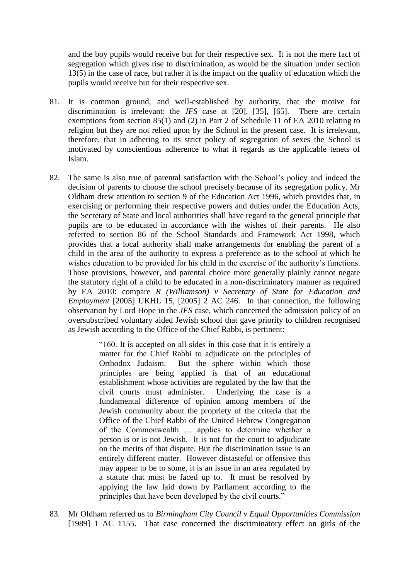and the boy pupils would receive but for their respective sex. It is not the mere fact of segregation which gives rise to discrimination, as would be the situation under section 13(5) in the case of race, but rather it is the impact on the quality of education which the pupils would receive but for their respective sex.

- 81. It is common ground, and well-established by authority, that the motive for discrimination is irrelevant: the *JFS* case at [20], [35], [65]. There are certain exemptions from section 85(1) and (2) in Part 2 of Schedule 11 of EA 2010 relating to religion but they are not relied upon by the School in the present case. It is irrelevant, therefore, that in adhering to its strict policy of segregation of sexes the School is motivated by conscientious adherence to what it regards as the applicable tenets of Islam.
- 82. The same is also true of parental satisfaction with the School's policy and indeed the decision of parents to choose the school precisely because of its segregation policy. Mr Oldham drew attention to section 9 of the Education Act 1996, which provides that, in exercising or performing their respective powers and duties under the Education Acts, the Secretary of State and local authorities shall have regard to the general principle that pupils are to be educated in accordance with the wishes of their parents. He also referred to section 86 of the School Standards and Framework Act 1998, which provides that a local authority shall make arrangements for enabling the parent of a child in the area of the authority to express a preference as to the school at which he wishes education to be provided for his child in the exercise of the authority's functions. Those provisions, however, and parental choice more generally plainly cannot negate the statutory right of a child to be educated in a non-discriminatory manner as required by EA 2010: compare *R (Williamson) v Secretary of State for Education and Employment* [2005] UKHL 15, [2005] 2 AC 246. In that connection, the following observation by Lord Hope in the *JFS* case, which concerned the admission policy of an oversubscribed voluntary aided Jewish school that gave priority to children recognised as Jewish according to the Office of the Chief Rabbi, is pertinent:

"160. It is accepted on all sides in this case that it is entirely a matter for the Chief Rabbi to adjudicate on the principles of Orthodox Judaism. But the sphere within which those principles are being applied is that of an educational establishment whose activities are regulated by the law that the civil courts must administer. Underlying the case is a fundamental difference of opinion among members of the Jewish community about the propriety of the criteria that the Office of the Chief Rabbi of the United Hebrew Congregation of the Commonwealth … applies to determine whether a person is or is not Jewish. It is not for the court to adjudicate on the merits of that dispute. But the discrimination issue is an entirely different matter. However distasteful or offensive this may appear to be to some, it is an issue in an area regulated by a statute that must be faced up to. It must be resolved by applying the law laid down by Parliament according to the principles that have been developed by the civil courts."

83. Mr Oldham referred us to *Birmingham City Council v Equal Opportunities Commission* [1989] 1 AC 1155. That case concerned the discriminatory effect on girls of the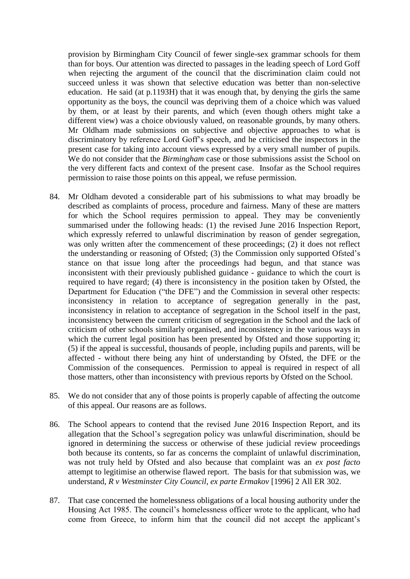provision by Birmingham City Council of fewer single-sex grammar schools for them than for boys. Our attention was directed to passages in the leading speech of Lord Goff when rejecting the argument of the council that the discrimination claim could not succeed unless it was shown that selective education was better than non-selective education. He said (at p.1193H) that it was enough that, by denying the girls the same opportunity as the boys, the council was depriving them of a choice which was valued by them, or at least by their parents, and which (even though others might take a different view) was a choice obviously valued, on reasonable grounds, by many others. Mr Oldham made submissions on subjective and objective approaches to what is discriminatory by reference Lord Goff's speech, and he criticised the inspectors in the present case for taking into account views expressed by a very small number of pupils. We do not consider that the *Birmingham* case or those submissions assist the School on the very different facts and context of the present case. Insofar as the School requires permission to raise those points on this appeal, we refuse permission.

- 84. Mr Oldham devoted a considerable part of his submissions to what may broadly be described as complaints of process, procedure and fairness. Many of these are matters for which the School requires permission to appeal. They may be conveniently summarised under the following heads: (1) the revised June 2016 Inspection Report, which expressly referred to unlawful discrimination by reason of gender segregation, was only written after the commencement of these proceedings; (2) it does not reflect the understanding or reasoning of Ofsted; (3) the Commission only supported Ofsted's stance on that issue long after the proceedings had begun, and that stance was inconsistent with their previously published guidance - guidance to which the court is required to have regard; (4) there is inconsistency in the position taken by Ofsted, the Department for Education ("the DFE") and the Commission in several other respects: inconsistency in relation to acceptance of segregation generally in the past, inconsistency in relation to acceptance of segregation in the School itself in the past, inconsistency between the current criticism of segregation in the School and the lack of criticism of other schools similarly organised, and inconsistency in the various ways in which the current legal position has been presented by Ofsted and those supporting it; (5) if the appeal is successful, thousands of people, including pupils and parents, will be affected - without there being any hint of understanding by Ofsted, the DFE or the Commission of the consequences. Permission to appeal is required in respect of all those matters, other than inconsistency with previous reports by Ofsted on the School.
- 85. We do not consider that any of those points is properly capable of affecting the outcome of this appeal. Our reasons are as follows.
- 86. The School appears to contend that the revised June 2016 Inspection Report, and its allegation that the School's segregation policy was unlawful discrimination, should be ignored in determining the success or otherwise of these judicial review proceedings both because its contents, so far as concerns the complaint of unlawful discrimination, was not truly held by Ofsted and also because that complaint was an *ex post facto* attempt to legitimise an otherwise flawed report. The basis for that submission was, we understand, *R v Westminster City Council, ex parte Ermakov* [1996] 2 All ER 302.
- 87. That case concerned the homelessness obligations of a local housing authority under the Housing Act 1985. The council's homelessness officer wrote to the applicant, who had come from Greece, to inform him that the council did not accept the applicant's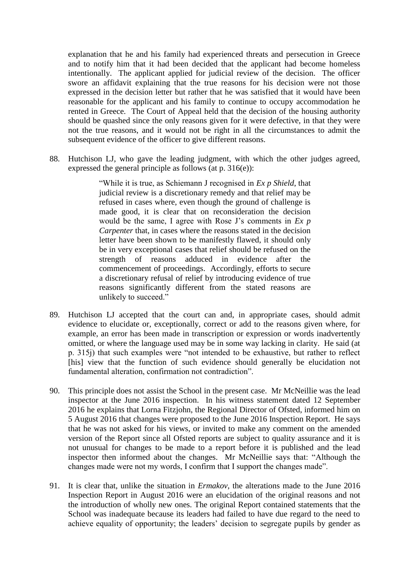explanation that he and his family had experienced threats and persecution in Greece and to notify him that it had been decided that the applicant had become homeless intentionally. The applicant applied for judicial review of the decision. The officer swore an affidavit explaining that the true reasons for his decision were not those expressed in the decision letter but rather that he was satisfied that it would have been reasonable for the applicant and his family to continue to occupy accommodation he rented in Greece. The Court of Appeal held that the decision of the housing authority should be quashed since the only reasons given for it were defective, in that they were not the true reasons, and it would not be right in all the circumstances to admit the subsequent evidence of the officer to give different reasons.

88. Hutchison LJ, who gave the leading judgment, with which the other judges agreed, expressed the general principle as follows (at  $p. 316(e)$ ):

> "While it is true, as Schiemann J recognised in *Ex p Shield*, that judicial review is a discretionary remedy and that relief may be refused in cases where, even though the ground of challenge is made good, it is clear that on reconsideration the decision would be the same, I agree with Rose J's comments in *Ex p Carpenter* that, in cases where the reasons stated in the decision letter have been shown to be manifestly flawed, it should only be in very exceptional cases that relief should be refused on the strength of reasons adduced in evidence after the commencement of proceedings. Accordingly, efforts to secure a discretionary refusal of relief by introducing evidence of true reasons significantly different from the stated reasons are unlikely to succeed."

- 89. Hutchison LJ accepted that the court can and, in appropriate cases, should admit evidence to elucidate or, exceptionally, correct or add to the reasons given where, for example, an error has been made in transcription or expression or words inadvertently omitted, or where the language used may be in some way lacking in clarity. He said (at p. 315j) that such examples were "not intended to be exhaustive, but rather to reflect [his] view that the function of such evidence should generally be elucidation not fundamental alteration, confirmation not contradiction".
- 90. This principle does not assist the School in the present case. Mr McNeillie was the lead inspector at the June 2016 inspection. In his witness statement dated 12 September 2016 he explains that Lorna Fitzjohn, the Regional Director of Ofsted, informed him on 5 August 2016 that changes were proposed to the June 2016 Inspection Report. He says that he was not asked for his views, or invited to make any comment on the amended version of the Report since all Ofsted reports are subject to quality assurance and it is not unusual for changes to be made to a report before it is published and the lead inspector then informed about the changes. Mr McNeillie says that: "Although the changes made were not my words, I confirm that I support the changes made".
- 91. It is clear that, unlike the situation in *Ermakov*, the alterations made to the June 2016 Inspection Report in August 2016 were an elucidation of the original reasons and not the introduction of wholly new ones. The original Report contained statements that the School was inadequate because its leaders had failed to have due regard to the need to achieve equality of opportunity; the leaders' decision to segregate pupils by gender as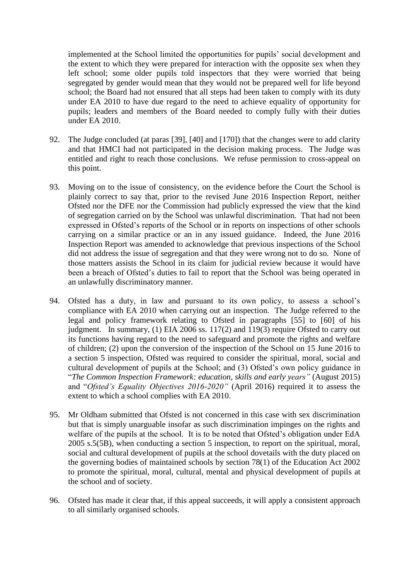implemented at the School limited the opportunities for pupils' social development and the extent to which they were prepared for interaction with the opposite sex when they left school; some older pupils told inspectors that they were worried that being segregated by gender would mean that they would not be prepared well for life beyond school; the Board had not ensured that all steps had been taken to comply with its duty under EA 2010 to have due regard to the need to achieve equality of opportunity for pupils; leaders and members of the Board needed to comply fully with their duties under EA 2010.

- 92. The Judge concluded (at paras [39], [40] and [170]) that the changes were to add clarity and that HMCI had not participated in the decision making process. The Judge was entitled and right to reach those conclusions. We refuse permission to cross-appeal on this point.
- 93. Moving on to the issue of consistency, on the evidence before the Court the School is plainly correct to say that, prior to the revised June 2016 Inspection Report, neither Ofsted nor the DFE nor the Commission had publicly expressed the view that the kind of segregation carried on by the School was unlawful discrimination. That had not been expressed in Ofsted's reports of the School or in reports on inspections of other schools carrying on a similar practice or an in any issued guidance. Indeed, the June 2016 Inspection Report was amended to acknowledge that previous inspections of the School did not address the issue of segregation and that they were wrong not to do so. None of those matters assists the School in its claim for judicial review because it would have been a breach of Ofsted's duties to fail to report that the School was being operated in an unlawfully discriminatory manner.
- 94. Ofsted has a duty, in law and pursuant to its own policy, to assess a school's compliance with EA 2010 when carrying out an inspection. The Judge referred to the legal and policy framework relating to Ofsted in paragraphs [55] to [60] of his judgment. In summary, (1) EIA 2006 ss. 117(2) and 119(3) require Ofsted to carry out its functions having regard to the need to safeguard and promote the rights and welfare of children; (2) upon the conversion of the inspection of the School on 15 June 2016 to a section 5 inspection, Ofsted was required to consider the spiritual, moral, social and cultural development of pupils at the School; and (3) Ofsted's own policy guidance in "*The Common Inspection Framework: education, skills and early years"* (August 2015) and "*Ofsted's Equality Objectives 2016-2020"* (April 2016) required it to assess the extent to which a school complies with EA 2010.
- 95. Mr Oldham submitted that Ofsted is not concerned in this case with sex discrimination but that is simply unarguable insofar as such discrimination impinges on the rights and welfare of the pupils at the school. It is to be noted that Ofsted's obligation under EdA 2005 s.5(5B), when conducting a section 5 inspection, to report on the spiritual, moral, social and cultural development of pupils at the school dovetails with the duty placed on the governing bodies of maintained schools by section 78(1) of the Education Act 2002 to promote the spiritual, moral, cultural, mental and physical development of pupils at the school and of society.
- 96. Ofsted has made it clear that, if this appeal succeeds, it will apply a consistent approach to all similarly organised schools.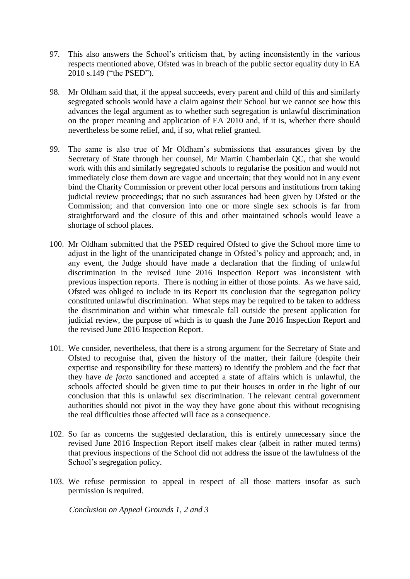- 97. This also answers the School's criticism that, by acting inconsistently in the various respects mentioned above, Ofsted was in breach of the public sector equality duty in EA 2010 s.149 ("the PSED").
- 98. Mr Oldham said that, if the appeal succeeds, every parent and child of this and similarly segregated schools would have a claim against their School but we cannot see how this advances the legal argument as to whether such segregation is unlawful discrimination on the proper meaning and application of EA 2010 and, if it is, whether there should nevertheless be some relief, and, if so, what relief granted.
- 99. The same is also true of Mr Oldham's submissions that assurances given by the Secretary of State through her counsel, Mr Martin Chamberlain QC, that she would work with this and similarly segregated schools to regularise the position and would not immediately close them down are vague and uncertain; that they would not in any event bind the Charity Commission or prevent other local persons and institutions from taking judicial review proceedings; that no such assurances had been given by Ofsted or the Commission; and that conversion into one or more single sex schools is far from straightforward and the closure of this and other maintained schools would leave a shortage of school places.
- 100. Mr Oldham submitted that the PSED required Ofsted to give the School more time to adjust in the light of the unanticipated change in Ofsted's policy and approach; and, in any event, the Judge should have made a declaration that the finding of unlawful discrimination in the revised June 2016 Inspection Report was inconsistent with previous inspection reports. There is nothing in either of those points. As we have said, Ofsted was obliged to include in its Report its conclusion that the segregation policy constituted unlawful discrimination. What steps may be required to be taken to address the discrimination and within what timescale fall outside the present application for judicial review, the purpose of which is to quash the June 2016 Inspection Report and the revised June 2016 Inspection Report.
- 101. We consider, nevertheless, that there is a strong argument for the Secretary of State and Ofsted to recognise that, given the history of the matter, their failure (despite their expertise and responsibility for these matters) to identify the problem and the fact that they have *de facto* sanctioned and accepted a state of affairs which is unlawful, the schools affected should be given time to put their houses in order in the light of our conclusion that this is unlawful sex discrimination. The relevant central government authorities should not pivot in the way they have gone about this without recognising the real difficulties those affected will face as a consequence.
- 102. So far as concerns the suggested declaration, this is entirely unnecessary since the revised June 2016 Inspection Report itself makes clear (albeit in rather muted terms) that previous inspections of the School did not address the issue of the lawfulness of the School's segregation policy.
- 103. We refuse permission to appeal in respect of all those matters insofar as such permission is required.

*Conclusion on Appeal Grounds 1, 2 and 3*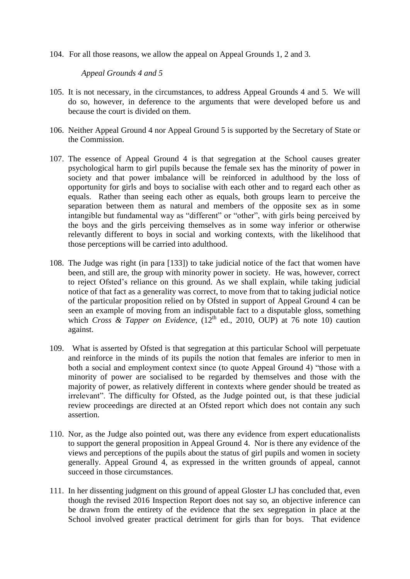104. For all those reasons, we allow the appeal on Appeal Grounds 1, 2 and 3.

*Appeal Grounds 4 and 5*

- 105. It is not necessary, in the circumstances, to address Appeal Grounds 4 and 5. We will do so, however, in deference to the arguments that were developed before us and because the court is divided on them.
- 106. Neither Appeal Ground 4 nor Appeal Ground 5 is supported by the Secretary of State or the Commission.
- 107. The essence of Appeal Ground 4 is that segregation at the School causes greater psychological harm to girl pupils because the female sex has the minority of power in society and that power imbalance will be reinforced in adulthood by the loss of opportunity for girls and boys to socialise with each other and to regard each other as equals. Rather than seeing each other as equals, both groups learn to perceive the separation between them as natural and members of the opposite sex as in some intangible but fundamental way as "different" or "other", with girls being perceived by the boys and the girls perceiving themselves as in some way inferior or otherwise relevantly different to boys in social and working contexts, with the likelihood that those perceptions will be carried into adulthood.
- 108. The Judge was right (in para [133]) to take judicial notice of the fact that women have been, and still are, the group with minority power in society. He was, however, correct to reject Ofsted's reliance on this ground. As we shall explain, while taking judicial notice of that fact as a generality was correct, to move from that to taking judicial notice of the particular proposition relied on by Ofsted in support of Appeal Ground 4 can be seen an example of moving from an indisputable fact to a disputable gloss, something which *Cross & Tapper on Evidence*,  $(12<sup>th</sup>$  ed., 2010, OUP) at 76 note 10) caution against.
- 109. What is asserted by Ofsted is that segregation at this particular School will perpetuate and reinforce in the minds of its pupils the notion that females are inferior to men in both a social and employment context since (to quote Appeal Ground 4) "those with a minority of power are socialised to be regarded by themselves and those with the majority of power, as relatively different in contexts where gender should be treated as irrelevant". The difficulty for Ofsted, as the Judge pointed out, is that these judicial review proceedings are directed at an Ofsted report which does not contain any such assertion.
- 110. Nor, as the Judge also pointed out, was there any evidence from expert educationalists to support the general proposition in Appeal Ground 4. Nor is there any evidence of the views and perceptions of the pupils about the status of girl pupils and women in society generally. Appeal Ground 4, as expressed in the written grounds of appeal, cannot succeed in those circumstances.
- 111. In her dissenting judgment on this ground of appeal Gloster LJ has concluded that, even though the revised 2016 Inspection Report does not say so, an objective inference can be drawn from the entirety of the evidence that the sex segregation in place at the School involved greater practical detriment for girls than for boys. That evidence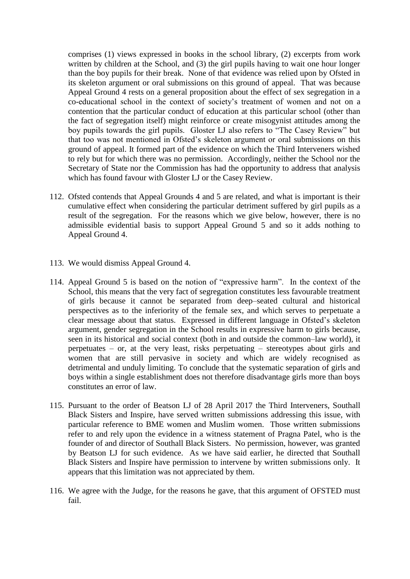comprises (1) views expressed in books in the school library, (2) excerpts from work written by children at the School, and (3) the girl pupils having to wait one hour longer than the boy pupils for their break. None of that evidence was relied upon by Ofsted in its skeleton argument or oral submissions on this ground of appeal. That was because Appeal Ground 4 rests on a general proposition about the effect of sex segregation in a co-educational school in the context of society's treatment of women and not on a contention that the particular conduct of education at this particular school (other than the fact of segregation itself) might reinforce or create misogynist attitudes among the boy pupils towards the girl pupils. Gloster LJ also refers to "The Casey Review" but that too was not mentioned in Ofsted's skeleton argument or oral submissions on this ground of appeal. It formed part of the evidence on which the Third Interveners wished to rely but for which there was no permission. Accordingly, neither the School nor the Secretary of State nor the Commission has had the opportunity to address that analysis which has found favour with Gloster LJ or the Casey Review.

- 112. Ofsted contends that Appeal Grounds 4 and 5 are related, and what is important is their cumulative effect when considering the particular detriment suffered by girl pupils as a result of the segregation. For the reasons which we give below, however, there is no admissible evidential basis to support Appeal Ground 5 and so it adds nothing to Appeal Ground 4.
- 113. We would dismiss Appeal Ground 4.
- 114. Appeal Ground 5 is based on the notion of "expressive harm". In the context of the School, this means that the very fact of segregation constitutes less favourable treatment of girls because it cannot be separated from deep–seated cultural and historical perspectives as to the inferiority of the female sex, and which serves to perpetuate a clear message about that status. Expressed in different language in Ofsted's skeleton argument, gender segregation in the School results in expressive harm to girls because, seen in its historical and social context (both in and outside the common–law world), it perpetuates – or, at the very least, risks perpetuating – stereotypes about girls and women that are still pervasive in society and which are widely recognised as detrimental and unduly limiting. To conclude that the systematic separation of girls and boys within a single establishment does not therefore disadvantage girls more than boys constitutes an error of law.
- 115. Pursuant to the order of Beatson LJ of 28 April 2017 the Third Interveners, Southall Black Sisters and Inspire, have served written submissions addressing this issue, with particular reference to BME women and Muslim women. Those written submissions refer to and rely upon the evidence in a witness statement of Pragna Patel, who is the founder of and director of Southall Black Sisters. No permission, however, was granted by Beatson LJ for such evidence. As we have said earlier, he directed that Southall Black Sisters and Inspire have permission to intervene by written submissions only. It appears that this limitation was not appreciated by them.
- 116. We agree with the Judge, for the reasons he gave, that this argument of OFSTED must fail.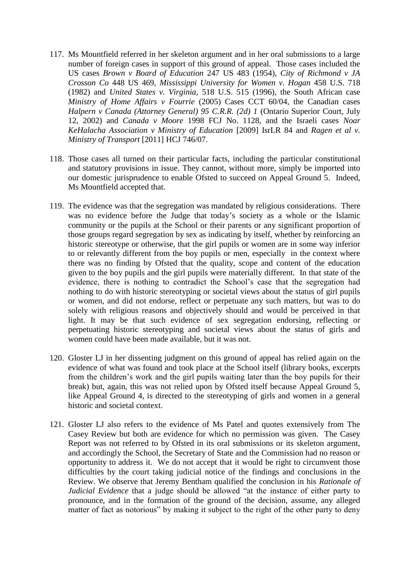- 117. Ms Mountfield referred in her skeleton argument and in her oral submissions to a large number of foreign cases in support of this ground of appeal. Those cases included the US cases *Brown v Board of Education* 247 US 483 (1954), *City of Richmond v JA Crosson Co* 448 US 469, *Mississippi University for Women v. Hogan* 458 U.S. 718 (1982) and *United States v. Virginia*, 518 U.S. 515 (1996), the South African case *Ministry of Home Affairs v Fourrie* (2005) Cases CCT 60/04, the Canadian cases *Halpern v Canada (Attorney General) 95 C.R.R. (2d) 1* (Ontario Superior Court, July 12, 2002) and *Canada v Moore* 1998 FCJ No. 1128, and the Israeli cases *Noar KeHalacha Association v Ministry of Education* [2009] IsrLR 84 and *Ragen et al v. Ministry of Transport* [2011] HCJ 746/07.
- 118. Those cases all turned on their particular facts, including the particular constitutional and statutory provisions in issue. They cannot, without more, simply be imported into our domestic jurisprudence to enable Ofsted to succeed on Appeal Ground 5. Indeed, Ms Mountfield accepted that.
- 119. The evidence was that the segregation was mandated by religious considerations. There was no evidence before the Judge that today's society as a whole or the Islamic community or the pupils at the School or their parents or any significant proportion of those groups regard segregation by sex as indicating by itself, whether by reinforcing an historic stereotype or otherwise, that the girl pupils or women are in some way inferior to or relevantly different from the boy pupils or men, especially in the context where there was no finding by Ofsted that the quality, scope and content of the education given to the boy pupils and the girl pupils were materially different. In that state of the evidence, there is nothing to contradict the School's case that the segregation had nothing to do with historic stereotyping or societal views about the status of girl pupils or women, and did not endorse, reflect or perpetuate any such matters, but was to do solely with religious reasons and objectively should and would be perceived in that light. It may be that such evidence of sex segregation endorsing, reflecting or perpetuating historic stereotyping and societal views about the status of girls and women could have been made available, but it was not.
- 120. Gloster LJ in her dissenting judgment on this ground of appeal has relied again on the evidence of what was found and took place at the School itself (library books, excerpts from the children's work and the girl pupils waiting later than the boy pupils for their break) but, again, this was not relied upon by Ofsted itself because Appeal Ground 5, like Appeal Ground 4, is directed to the stereotyping of girls and women in a general historic and societal context.
- 121. Gloster LJ also refers to the evidence of Ms Patel and quotes extensively from The Casey Review but both are evidence for which no permission was given. The Casey Report was not referred to by Ofsted in its oral submissions or its skeleton argument, and accordingly the School, the Secretary of State and the Commission had no reason or opportunity to address it. We do not accept that it would be right to circumvent those difficulties by the court taking judicial notice of the findings and conclusions in the Review. We observe that Jeremy Bentham qualified the conclusion in his *Rationale of Judicial Evidence* that a judge should be allowed "at the instance of either party to pronounce, and in the formation of the ground of the decision, assume, any alleged matter of fact as notorious" by making it subject to the right of the other party to deny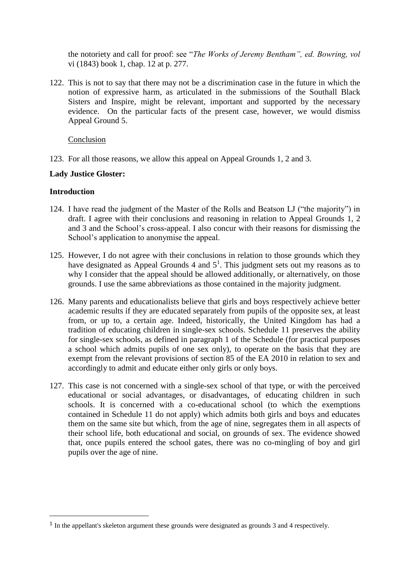the notoriety and call for proof: see "*The Works of Jeremy Bentham", ed. Bowring, vol*  vi (1843) book 1, chap. 12 at p. 277.

122. This is not to say that there may not be a discrimination case in the future in which the notion of expressive harm, as articulated in the submissions of the Southall Black Sisters and Inspire, might be relevant, important and supported by the necessary evidence. On the particular facts of the present case, however, we would dismiss Appeal Ground 5.

#### Conclusion

123. For all those reasons, we allow this appeal on Appeal Grounds 1, 2 and 3.

#### **Lady Justice Gloster:**

#### **Introduction**

1

- 124. I have read the judgment of the Master of the Rolls and Beatson LJ ("the majority") in draft. I agree with their conclusions and reasoning in relation to Appeal Grounds 1, 2 and 3 and the School's cross-appeal. I also concur with their reasons for dismissing the School's application to anonymise the appeal.
- 125. However, I do not agree with their conclusions in relation to those grounds which they have designated as Appeal Grounds 4 and  $5<sup>1</sup>$ . This judgment sets out my reasons as to why I consider that the appeal should be allowed additionally, or alternatively, on those grounds. I use the same abbreviations as those contained in the majority judgment.
- 126. Many parents and educationalists believe that girls and boys respectively achieve better academic results if they are educated separately from pupils of the opposite sex, at least from, or up to, a certain age. Indeed, historically, the United Kingdom has had a tradition of educating children in single-sex schools. Schedule 11 preserves the ability for single-sex schools, as defined in paragraph 1 of the Schedule (for practical purposes a school which admits pupils of one sex only), to operate on the basis that they are exempt from the relevant provisions of section 85 of the EA 2010 in relation to sex and accordingly to admit and educate either only girls or only boys.
- 127. This case is not concerned with a single-sex school of that type, or with the perceived educational or social advantages, or disadvantages, of educating children in such schools. It is concerned with a co-educational school (to which the exemptions contained in Schedule 11 do not apply) which admits both girls and boys and educates them on the same site but which, from the age of nine, segregates them in all aspects of their school life, both educational and social, on grounds of sex. The evidence showed that, once pupils entered the school gates, there was no co-mingling of boy and girl pupils over the age of nine.

<sup>1</sup> In the appellant's skeleton argument these grounds were designated as grounds 3 and 4 respectively.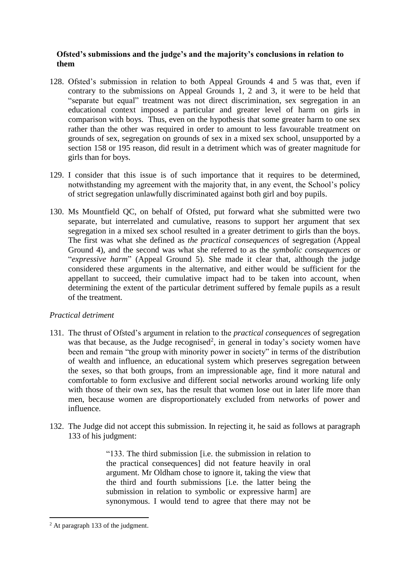#### **Ofsted's submissions and the judge's and the majority's conclusions in relation to them**

- 128. Ofsted's submission in relation to both Appeal Grounds 4 and 5 was that, even if contrary to the submissions on Appeal Grounds 1, 2 and 3, it were to be held that "separate but equal" treatment was not direct discrimination, sex segregation in an educational context imposed a particular and greater level of harm on girls in comparison with boys. Thus, even on the hypothesis that some greater harm to one sex rather than the other was required in order to amount to less favourable treatment on grounds of sex, segregation on grounds of sex in a mixed sex school, unsupported by a section 158 or 195 reason, did result in a detriment which was of greater magnitude for girls than for boys.
- 129. I consider that this issue is of such importance that it requires to be determined, notwithstanding my agreement with the majority that, in any event, the School's policy of strict segregation unlawfully discriminated against both girl and boy pupils.
- 130. Ms Mountfield QC, on behalf of Ofsted, put forward what she submitted were two separate, but interrelated and cumulative, reasons to support her argument that sex segregation in a mixed sex school resulted in a greater detriment to girls than the boys. The first was what she defined as *the practical consequences* of segregation (Appeal Ground 4), and the second was what she referred to as the *symbolic consequences* or "*expressive harm*" (Appeal Ground 5). She made it clear that, although the judge considered these arguments in the alternative, and either would be sufficient for the appellant to succeed, their cumulative impact had to be taken into account, when determining the extent of the particular detriment suffered by female pupils as a result of the treatment.

## *Practical detriment*

- 131. The thrust of Ofsted's argument in relation to the *practical consequences* of segregation was that because, as the Judge recognised<sup>2</sup>, in general in today's society women have been and remain "the group with minority power in society" in terms of the distribution of wealth and influence, an educational system which preserves segregation between the sexes, so that both groups, from an impressionable age, find it more natural and comfortable to form exclusive and different social networks around working life only with those of their own sex, has the result that women lose out in later life more than men, because women are disproportionately excluded from networks of power and influence.
- 132. The Judge did not accept this submission. In rejecting it, he said as follows at paragraph 133 of his judgment:

"133. The third submission [i.e. the submission in relation to the practical consequences] did not feature heavily in oral argument. Mr Oldham chose to ignore it, taking the view that the third and fourth submissions [i.e. the latter being the submission in relation to symbolic or expressive harm] are synonymous. I would tend to agree that there may not be

1

<sup>2</sup> At paragraph 133 of the judgment.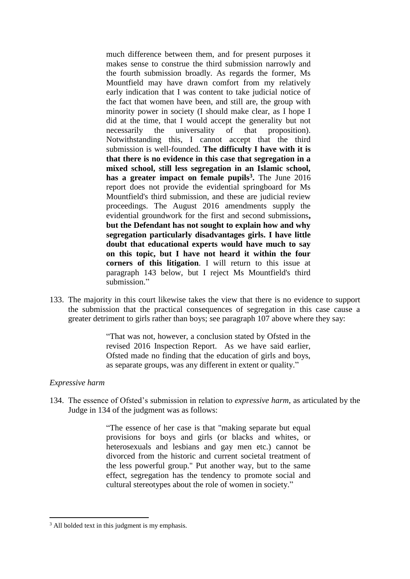much difference between them, and for present purposes it makes sense to construe the third submission narrowly and the fourth submission broadly. As regards the former, Ms Mountfield may have drawn comfort from my relatively early indication that I was content to take judicial notice of the fact that women have been, and still are, the group with minority power in society (I should make clear, as I hope I did at the time, that I would accept the generality but not necessarily the universality of that proposition). Notwithstanding this, I cannot accept that the third submission is well-founded. **The difficulty I have with it is that there is no evidence in this case that segregation in a mixed school, still less segregation in an Islamic school, has a greater impact on female pupils<sup>3</sup> .** The June 2016 report does not provide the evidential springboard for Ms Mountfield's third submission, and these are judicial review proceedings. The August 2016 amendments supply the evidential groundwork for the first and second submissions**, but the Defendant has not sought to explain how and why segregation particularly disadvantages girls. I have little doubt that educational experts would have much to say on this topic, but I have not heard it within the four corners of this litigation**. I will return to this issue at paragraph 143 below, but I reject Ms Mountfield's third submission."

133. The majority in this court likewise takes the view that there is no evidence to support the submission that the practical consequences of segregation in this case cause a greater detriment to girls rather than boys; see paragraph 107 above where they say:

> "That was not, however, a conclusion stated by Ofsted in the revised 2016 Inspection Report. As we have said earlier, Ofsted made no finding that the education of girls and boys, as separate groups, was any different in extent or quality."

#### *Expressive harm*

1

134. The essence of Ofsted's submission in relation to *expressive harm*, as articulated by the Judge in 134 of the judgment was as follows:

> "The essence of her case is that "making separate but equal provisions for boys and girls (or blacks and whites, or heterosexuals and lesbians and gay men etc.) cannot be divorced from the historic and current societal treatment of the less powerful group." Put another way, but to the same effect, segregation has the tendency to promote social and cultural stereotypes about the role of women in society."

<sup>&</sup>lt;sup>3</sup> All bolded text in this judgment is my emphasis.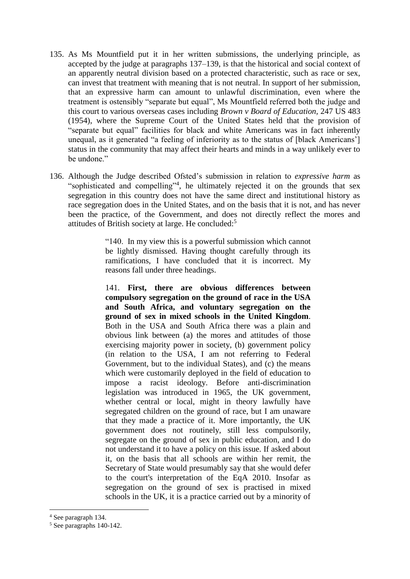- 135. As Ms Mountfield put it in her written submissions, the underlying principle, as accepted by the judge at paragraphs 137–139, is that the historical and social context of an apparently neutral division based on a protected characteristic, such as race or sex, can invest that treatment with meaning that is not neutral. In support of her submission, that an expressive harm can amount to unlawful discrimination, even where the treatment is ostensibly "separate but equal", Ms Mountfield referred both the judge and this court to various overseas cases including *Brown v Board of Education,* 247 US 483 (1954), where the Supreme Court of the United States held that the provision of "separate but equal" facilities for black and white Americans was in fact inherently unequal, as it generated "a feeling of inferiority as to the status of [black Americans'] status in the community that may affect their hearts and minds in a way unlikely ever to be undone."
- 136. Although the Judge described Ofsted's submission in relation to *expressive harm* as "sophisticated and compelling"<sup>4</sup>, he ultimately rejected it on the grounds that sex segregation in this country does not have the same direct and institutional history as race segregation does in the United States, and on the basis that it is not, and has never been the practice, of the Government, and does not directly reflect the mores and attitudes of British society at large. He concluded:<sup>5</sup>

"140. In my view this is a powerful submission which cannot be lightly dismissed. Having thought carefully through its ramifications, I have concluded that it is incorrect. My reasons fall under three headings.

141. **First, there are obvious differences between compulsory segregation on the ground of race in the USA and South Africa, and voluntary segregation on the ground of sex in mixed schools in the United Kingdom**. Both in the USA and South Africa there was a plain and obvious link between (a) the mores and attitudes of those exercising majority power in society, (b) government policy (in relation to the USA, I am not referring to Federal Government, but to the individual States), and (c) the means which were customarily deployed in the field of education to impose a racist ideology. Before anti-discrimination legislation was introduced in 1965, the UK government, whether central or local, might in theory lawfully have segregated children on the ground of race, but I am unaware that they made a practice of it. More importantly, the UK government does not routinely, still less compulsorily, segregate on the ground of sex in public education, and I do not understand it to have a policy on this issue. If asked about it, on the basis that all schools are within her remit, the Secretary of State would presumably say that she would defer to the court's interpretation of the EqA 2010. Insofar as segregation on the ground of sex is practised in mixed schools in the UK, it is a practice carried out by a minority of

1

<sup>4</sup> See paragraph 134.

<sup>5</sup> See paragraphs 140-142.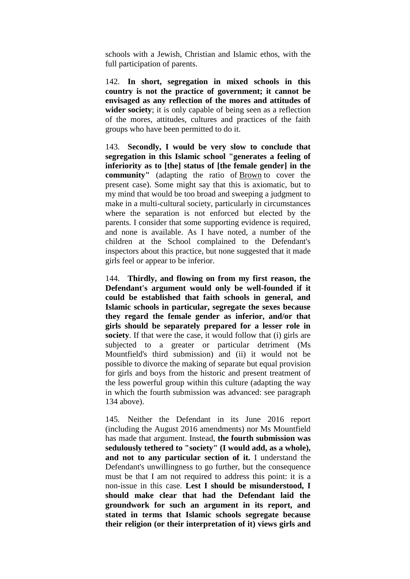schools with a Jewish, Christian and Islamic ethos, with the full participation of parents.

142. **In short, segregation in mixed schools in this country is not the practice of government; it cannot be envisaged as any reflection of the mores and attitudes of wider society**; it is only capable of being seen as a reflection of the mores, attitudes, cultures and practices of the faith groups who have been permitted to do it.

143. **Secondly, I would be very slow to conclude that segregation in this Islamic school "generates a feeling of inferiority as to [the] status of [the female gender] in the community"** (adapting the ratio of Brown to cover the present case). Some might say that this is axiomatic, but to my mind that would be too broad and sweeping a judgment to make in a multi-cultural society, particularly in circumstances where the separation is not enforced but elected by the parents. I consider that some supporting evidence is required, and none is available. As I have noted, a number of the children at the School complained to the Defendant's inspectors about this practice, but none suggested that it made girls feel or appear to be inferior.

144. **Thirdly, and flowing on from my first reason, the Defendant's argument would only be well-founded if it could be established that faith schools in general, and Islamic schools in particular, segregate the sexes because they regard the female gender as inferior, and/or that girls should be separately prepared for a lesser role in society**. If that were the case, it would follow that (i) girls are subjected to a greater or particular detriment (Ms Mountfield's third submission) and (ii) it would not be possible to divorce the making of separate but equal provision for girls and boys from the historic and present treatment of the less powerful group within this culture (adapting the way in which the fourth submission was advanced: see paragraph 134 above).

145. Neither the Defendant in its June 2016 report (including the August 2016 amendments) nor Ms Mountfield has made that argument. Instead, **the fourth submission was sedulously tethered to "society" (I would add, as a whole), and not to any particular section of it.** I understand the Defendant's unwillingness to go further, but the consequence must be that I am not required to address this point: it is a non-issue in this case. **Lest I should be misunderstood, I should make clear that had the Defendant laid the groundwork for such an argument in its report, and stated in terms that Islamic schools segregate because their religion (or their interpretation of it) views girls and**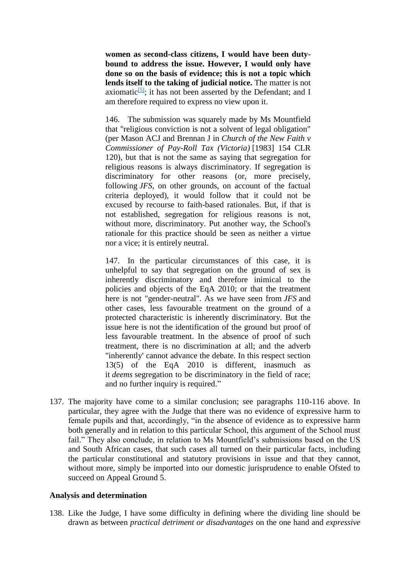**women as second-class citizens, I would have been dutybound to address the issue. However, I would only have done so on the basis of evidence; this is not a topic which lends itself to the taking of judicial notice.** The matter is not axiomatic<sup>[\[5\]](http://www.bailii.org/ew/cases/EWHC/Admin/2016/2813.html#note5)</sup>; it has not been asserted by the Defendant; and I am therefore required to express no view upon it.

146. The submission was squarely made by Ms Mountfield that "religious conviction is not a solvent of legal obligation" (per Mason ACJ and Brennan J in *Church of the New Faith v Commissioner of Pay-Roll Tax (Victoria)* [1983] 154 CLR 120), but that is not the same as saying that segregation for religious reasons is always discriminatory. If segregation is discriminatory for other reasons (or, more precisely, following *JFS,* on other grounds, on account of the factual criteria deployed), it would follow that it could not be excused by recourse to faith-based rationales. But, if that is not established, segregation for religious reasons is not, without more, discriminatory. Put another way, the School's rationale for this practice should be seen as neither a virtue nor a vice; it is entirely neutral.

147. In the particular circumstances of this case, it is unhelpful to say that segregation on the ground of sex is inherently discriminatory and therefore inimical to the policies and objects of the EqA 2010; or that the treatment here is not "gender-neutral". As we have seen from *JFS* and other cases, less favourable treatment on the ground of a protected characteristic is inherently discriminatory. But the issue here is not the identification of the ground but proof of less favourable treatment. In the absence of proof of such treatment, there is no discrimination at all; and the adverb "inherently' cannot advance the debate. In this respect section 13(5) of the EqA 2010 is different, inasmuch as it *deems* segregation to be discriminatory in the field of race; and no further inquiry is required."

137. The majority have come to a similar conclusion; see paragraphs 110-116 above. In particular, they agree with the Judge that there was no evidence of expressive harm to female pupils and that, accordingly, "in the absence of evidence as to expressive harm both generally and in relation to this particular School, this argument of the School must fail." They also conclude, in relation to Ms Mountfield's submissions based on the US and South African cases, that such cases all turned on their particular facts, including the particular constitutional and statutory provisions in issue and that they cannot, without more, simply be imported into our domestic jurisprudence to enable Ofsted to succeed on Appeal Ground 5.

#### **Analysis and determination**

138. Like the Judge, I have some difficulty in defining where the dividing line should be drawn as between *practical detriment or disadvantages* on the one hand and *expressive*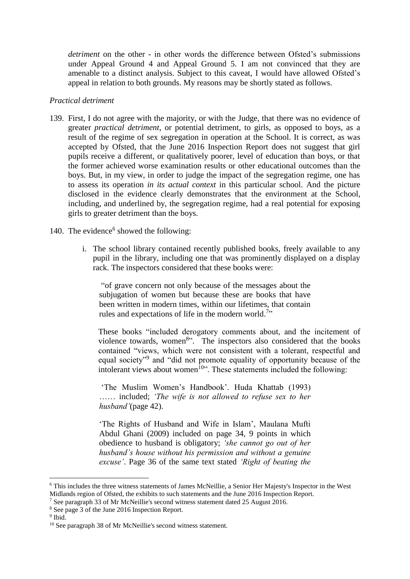*detriment* on the other - in other words the difference between Ofsted's submissions under Appeal Ground 4 and Appeal Ground 5. I am not convinced that they are amenable to a distinct analysis. Subject to this caveat, I would have allowed Ofsted's appeal in relation to both grounds. My reasons may be shortly stated as follows.

#### *Practical detriment*

139. First, I do not agree with the majority, or with the Judge, that there was no evidence of greater *practical detriment*, or potential detriment, to girls, as opposed to boys, as a result of the regime of sex segregation in operation at the School. It is correct, as was accepted by Ofsted, that the June 2016 Inspection Report does not suggest that girl pupils receive a different, or qualitatively poorer, level of education than boys, or that the former achieved worse examination results or other educational outcomes than the boys. But, in my view, in order to judge the impact of the segregation regime, one has to assess its operation *in its actual context* in this particular school. And the picture disclosed in the evidence clearly demonstrates that the environment at the School, including, and underlined by, the segregation regime, had a real potential for exposing girls to greater detriment than the boys.

#### 140. The evidence<sup>6</sup> showed the following:

i. The school library contained recently published books, freely available to any pupil in the library, including one that was prominently displayed on a display rack. The inspectors considered that these books were:

"of grave concern not only because of the messages about the subjugation of women but because these are books that have been written in modern times, within our lifetimes, that contain rules and expectations of life in the modern world.<sup>7</sup>"

These books "included derogatory comments about, and the incitement of violence towards, women<sup>8</sup><sup>3</sup>. The inspectors also considered that the books contained "views, which were not consistent with a tolerant, respectful and equal society"<sup>9</sup> and "did not promote equality of opportunity because of the intolerant views about women<sup>10"</sup>. These statements included the following:

'The Muslim Women's Handbook'. Huda Khattab (1993) …… included; *'The wife is not allowed to refuse sex to her husband'*(page 42).

'The Rights of Husband and Wife in Islam', Maulana Mufti Abdul Ghani (2009) included on page 34, 9 points in which obedience to husband is obligatory; *'she cannot go out of her husband's house without his permission and without a genuine excuse'*. Page 36 of the same text stated *'Right of beating the* 

1

<sup>6</sup> This includes the three witness statements of James McNeillie, a Senior Her Majesty's Inspector in the West Midlands region of Ofsted, the exhibits to such statements and the June 2016 Inspection Report.

<sup>7</sup> See paragraph 33 of Mr McNeillie's second witness statement dated 25 August 2016.

<sup>8</sup> See page 3 of the June 2016 Inspection Report.

<sup>&</sup>lt;sup>9</sup> Ibid.

<sup>&</sup>lt;sup>10</sup> See paragraph 38 of Mr McNeillie's second witness statement.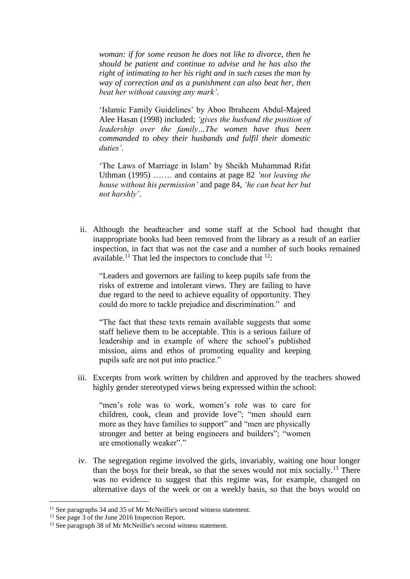*woman: if for some reason he does not like to divorce, then he should be patient and continue to advise and he has also the right of intimating to her his right and in such cases the man by way of correction and as a punishment can also beat her, then beat her without causing any mark'*.

'Islamic Family Guidelines' by Aboo Ibraheem Abdul-Majeed Alee Hasan (1998) included; *'gives the husband the position of leadership over the family…The women have thus been commanded to obey their husbands and fulfil their domestic duties'*.

'The Laws of Marriage in Islam' by Sheikh Muhammad Rifat Uthman (1995) ……. and contains at page 82 *'not leaving the house without his permission'* and page 84, *'he can beat her but not harshly'*.

ii. Although the headteacher and some staff at the School had thought that inappropriate books had been removed from the library as a result of an earlier inspection, in fact that was not the case and a number of such books remained available.<sup>11</sup> That led the inspectors to conclude that  $12$ :

"Leaders and governors are failing to keep pupils safe from the risks of extreme and intolerant views. They are failing to have due regard to the need to achieve equality of opportunity. They could do more to tackle prejudice and discrimination." and

"The fact that these texts remain available suggests that some staff believe them to be acceptable. This is a serious failure of leadership and in example of where the school's published mission, aims and ethos of promoting equality and keeping pupils safe are not put into practice."

iii. Excerpts from work written by children and approved by the teachers showed highly gender stereotyped views being expressed within the school:

"men's role was to work, women's role was to care for children, cook, clean and provide love"; "men should earn more as they have families to support" and "men are physically stronger and better at being engineers and builders"; "women are emotionally weaker"."

iv. The segregation regime involved the girls, invariably, waiting one hour longer than the boys for their break, so that the sexes would not mix socially.<sup>13</sup> There was no evidence to suggest that this regime was, for example, changed on alternative days of the week or on a weekly basis, so that the boys would on

<u>.</u>

<sup>&</sup>lt;sup>11</sup> See paragraphs 34 and 35 of Mr McNeillie's second witness statement.

<sup>&</sup>lt;sup>12</sup> See page 3 of the June 2016 Inspection Report.

<sup>&</sup>lt;sup>13</sup> See paragraph 38 of Mr McNeillie's second witness statement.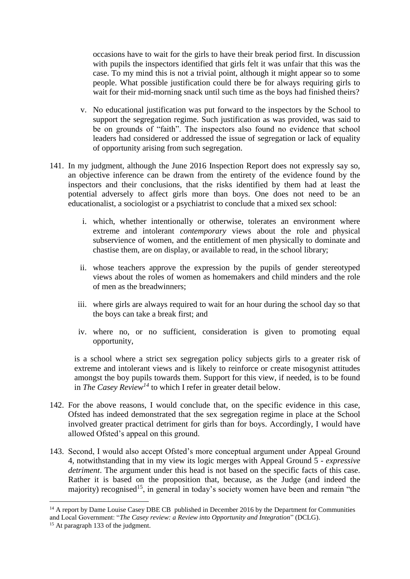occasions have to wait for the girls to have their break period first. In discussion with pupils the inspectors identified that girls felt it was unfair that this was the case. To my mind this is not a trivial point, although it might appear so to some people. What possible justification could there be for always requiring girls to wait for their mid-morning snack until such time as the boys had finished theirs?

- v. No educational justification was put forward to the inspectors by the School to support the segregation regime. Such justification as was provided, was said to be on grounds of "faith". The inspectors also found no evidence that school leaders had considered or addressed the issue of segregation or lack of equality of opportunity arising from such segregation.
- 141. In my judgment, although the June 2016 Inspection Report does not expressly say so, an objective inference can be drawn from the entirety of the evidence found by the inspectors and their conclusions, that the risks identified by them had at least the potential adversely to affect girls more than boys. One does not need to be an educationalist, a sociologist or a psychiatrist to conclude that a mixed sex school:
	- i. which, whether intentionally or otherwise, tolerates an environment where extreme and intolerant *contemporary* views about the role and physical subservience of women, and the entitlement of men physically to dominate and chastise them, are on display, or available to read, in the school library;
	- ii. whose teachers approve the expression by the pupils of gender stereotyped views about the roles of women as homemakers and child minders and the role of men as the breadwinners;
	- iii. where girls are always required to wait for an hour during the school day so that the boys can take a break first; and
	- iv. where no, or no sufficient, consideration is given to promoting equal opportunity,

is a school where a strict sex segregation policy subjects girls to a greater risk of extreme and intolerant views and is likely to reinforce or create misogynist attitudes amongst the boy pupils towards them. Support for this view, if needed, is to be found in *The Casey Review<sup>14</sup>* to which I refer in greater detail below.

- 142. For the above reasons, I would conclude that, on the specific evidence in this case, Ofsted has indeed demonstrated that the sex segregation regime in place at the School involved greater practical detriment for girls than for boys. Accordingly, I would have allowed Ofsted's appeal on this ground.
- 143. Second, I would also accept Ofsted's more conceptual argument under Appeal Ground 4, notwithstanding that in my view its logic merges with Appeal Ground 5 - *expressive detriment*. The argument under this head is not based on the specific facts of this case. Rather it is based on the proposition that, because, as the Judge (and indeed the majority) recognised<sup>15</sup>, in general in today's society women have been and remain "the

<sup>&</sup>lt;u>.</u> <sup>14</sup> A report by Dame Louise Casey DBE CB published in December 2016 by the Department for Communities and Local Government: "*The Casey review: a Review into Opportunity and Integration*" (DCLG).

<sup>&</sup>lt;sup>15</sup> At paragraph 133 of the judgment.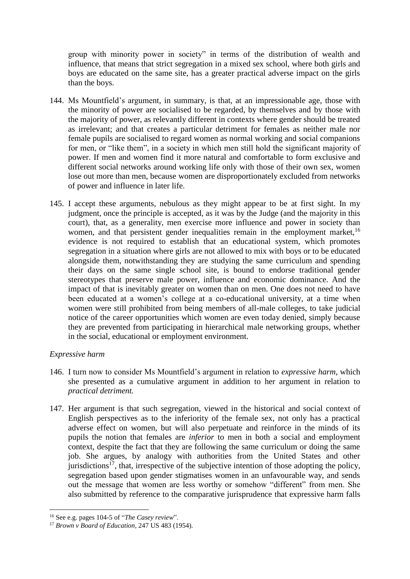group with minority power in society" in terms of the distribution of wealth and influence, that means that strict segregation in a mixed sex school, where both girls and boys are educated on the same site, has a greater practical adverse impact on the girls than the boys.

- 144. Ms Mountfield's argument, in summary, is that, at an impressionable age, those with the minority of power are socialised to be regarded, by themselves and by those with the majority of power, as relevantly different in contexts where gender should be treated as irrelevant; and that creates a particular detriment for females as neither male nor female pupils are socialised to regard women as normal working and social companions for men, or "like them", in a society in which men still hold the significant majority of power. If men and women find it more natural and comfortable to form exclusive and different social networks around working life only with those of their own sex, women lose out more than men, because women are disproportionately excluded from networks of power and influence in later life.
- 145. I accept these arguments, nebulous as they might appear to be at first sight. In my judgment, once the principle is accepted, as it was by the Judge (and the majority in this court), that, as a generality, men exercise more influence and power in society than women, and that persistent gender inequalities remain in the employment market,  $16$ evidence is not required to establish that an educational system, which promotes segregation in a situation where girls are not allowed to mix with boys or to be educated alongside them, notwithstanding they are studying the same curriculum and spending their days on the same single school site, is bound to endorse traditional gender stereotypes that preserve male power, influence and economic dominance. And the impact of that is inevitably greater on women than on men. One does not need to have been educated at a women's college at a co-educational university, at a time when women were still prohibited from being members of all-male colleges, to take judicial notice of the career opportunities which women are even today denied, simply because they are prevented from participating in hierarchical male networking groups, whether in the social, educational or employment environment.

## *Expressive harm*

- 146. I turn now to consider Ms Mountfield's argument in relation to *expressive harm*, which she presented as a cumulative argument in addition to her argument in relation to *practical detriment.*
- 147. Her argument is that such segregation, viewed in the historical and social context of English perspectives as to the inferiority of the female sex, not only has a practical adverse effect on women, but will also perpetuate and reinforce in the minds of its pupils the notion that females are *inferior* to men in both a social and employment context, despite the fact that they are following the same curriculum or doing the same job. She argues, by analogy with authorities from the United States and other jurisdictions<sup> $17$ </sup>, that, irrespective of the subjective intention of those adopting the policy, segregation based upon gender stigmatises women in an unfavourable way, and sends out the message that women are less worthy or somehow "different" from men. She also submitted by reference to the comparative jurisprudence that expressive harm falls

<sup>1</sup> <sup>16</sup> See e.g. pages 104-5 of "*The Casey review*".

<sup>17</sup> *Brown v Board of Education*, 247 US 483 (1954).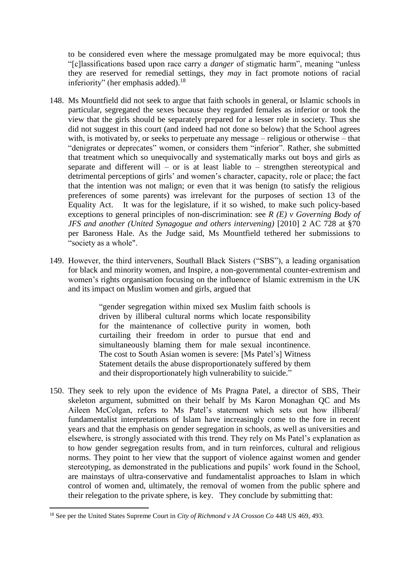to be considered even where the message promulgated may be more equivocal; thus "[c]lassifications based upon race carry a *danger* of stigmatic harm", meaning "unless they are reserved for remedial settings, they *may* in fact promote notions of racial inferiority" (her emphasis added).<sup>18</sup>

- 148. Ms Mountfield did not seek to argue that faith schools in general, or Islamic schools in particular, segregated the sexes because they regarded females as inferior or took the view that the girls should be separately prepared for a lesser role in society. Thus she did not suggest in this court (and indeed had not done so below) that the School agrees with, is motivated by, or seeks to perpetuate any message – religious or otherwise – that "denigrates or deprecates" women, or considers them "inferior". Rather, she submitted that treatment which so unequivocally and systematically marks out boys and girls as separate and different will – or is at least liable to – strengthen stereotypical and detrimental perceptions of girls' and women's character, capacity, role or place; the fact that the intention was not malign; or even that it was benign (to satisfy the religious preferences of some parents) was irrelevant for the purposes of section 13 of the Equality Act. It was for the legislature, if it so wished, to make such policy-based exceptions to general principles of non-discrimination: see *R (E) v Governing Body of JFS and another (United Synagogue and others intervening)* [2010] 2 AC 728 at §70 per Baroness Hale. As the Judge said, Ms Mountfield tethered her submissions to "society as a whole".
- 149. However, the third interveners, Southall Black Sisters ("SBS"), a leading organisation for black and minority women, and Inspire, a non-governmental counter-extremism and women's rights organisation focusing on the influence of Islamic extremism in the UK and its impact on Muslim women and girls, argued that

"gender segregation within mixed sex Muslim faith schools is driven by illiberal cultural norms which locate responsibility for the maintenance of collective purity in women, both curtailing their freedom in order to pursue that end and simultaneously blaming them for male sexual incontinence. The cost to South Asian women is severe: [Ms Patel's] Witness Statement details the abuse disproportionately suffered by them and their disproportionately high vulnerability to suicide."

150. They seek to rely upon the evidence of Ms Pragna Patel, a director of SBS, Their skeleton argument, submitted on their behalf by Ms Karon Monaghan QC and Ms Aileen McColgan, refers to Ms Patel's statement which sets out how illiberal/ fundamentalist interpretations of Islam have increasingly come to the fore in recent years and that the emphasis on gender segregation in schools, as well as universities and elsewhere, is strongly associated with this trend. They rely on Ms Patel's explanation as to how gender segregation results from, and in turn reinforces, cultural and religious norms. They point to her view that the support of violence against women and gender stereotyping, as demonstrated in the publications and pupils' work found in the School, are mainstays of ultra-conservative and fundamentalist approaches to Islam in which control of women and, ultimately, the removal of women from the public sphere and their relegation to the private sphere, is key. They conclude by submitting that:

<u>.</u>

<sup>18</sup> See per the United States Supreme Court in *City of Richmond v JA Crosson Co* 448 US 469, 493.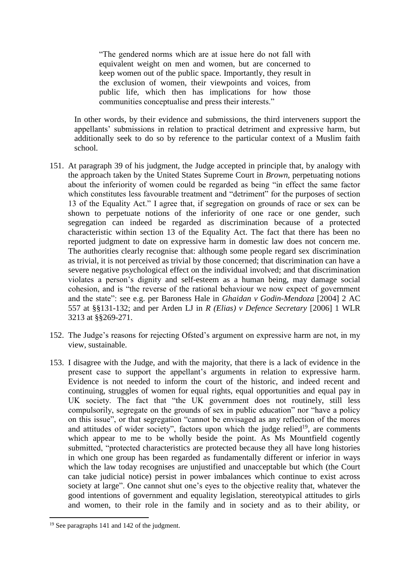"The gendered norms which are at issue here do not fall with equivalent weight on men and women, but are concerned to keep women out of the public space. Importantly, they result in the exclusion of women, their viewpoints and voices, from public life, which then has implications for how those communities conceptualise and press their interests."

In other words, by their evidence and submissions, the third interveners support the appellants' submissions in relation to practical detriment and expressive harm, but additionally seek to do so by reference to the particular context of a Muslim faith school.

- 151. At paragraph 39 of his judgment, the Judge accepted in principle that, by analogy with the approach taken by the United States Supreme Court in *Brown*, perpetuating notions about the inferiority of women could be regarded as being "in effect the same factor which constitutes less favourable treatment and "detriment" for the purposes of section 13 of the Equality Act." I agree that, if segregation on grounds of race or sex can be shown to perpetuate notions of the inferiority of one race or one gender, such segregation can indeed be regarded as discrimination because of a protected characteristic within section 13 of the Equality Act. The fact that there has been no reported judgment to date on expressive harm in domestic law does not concern me. The authorities clearly recognise that: although some people regard sex discrimination as trivial, it is not perceived as trivial by those concerned; that discrimination can have a severe negative psychological effect on the individual involved; and that discrimination violates a person's dignity and self-esteem as a human being, may damage social cohesion, and is "the reverse of the rational behaviour we now expect of government and the state": see e.g. per Baroness Hale in *Ghaidan v Godin-Mendoza* [2004] 2 AC 557 at §§131-132; and per Arden LJ in *R (Elias) v Defence Secretary* [2006] 1 WLR 3213 at §§269-271.
- 152. The Judge's reasons for rejecting Ofsted's argument on expressive harm are not, in my view, sustainable.
- 153. I disagree with the Judge, and with the majority, that there is a lack of evidence in the present case to support the appellant's arguments in relation to expressive harm. Evidence is not needed to inform the court of the historic, and indeed recent and continuing, struggles of women for equal rights, equal opportunities and equal pay in UK society. The fact that "the UK government does not routinely, still less compulsorily, segregate on the grounds of sex in public education" nor "have a policy on this issue", or that segregation "cannot be envisaged as any reflection of the mores and attitudes of wider society", factors upon which the judge relied<sup>19</sup>, are comments which appear to me to be wholly beside the point. As Ms Mountfield cogently submitted, "protected characteristics are protected because they all have long histories in which one group has been regarded as fundamentally different or inferior in ways which the law today recognises are unjustified and unacceptable but which (the Court can take judicial notice) persist in power imbalances which continue to exist across society at large". One cannot shut one's eyes to the objective reality that, whatever the good intentions of government and equality legislation, stereotypical attitudes to girls and women, to their role in the family and in society and as to their ability, or

1

<sup>19</sup> See paragraphs 141 and 142 of the judgment.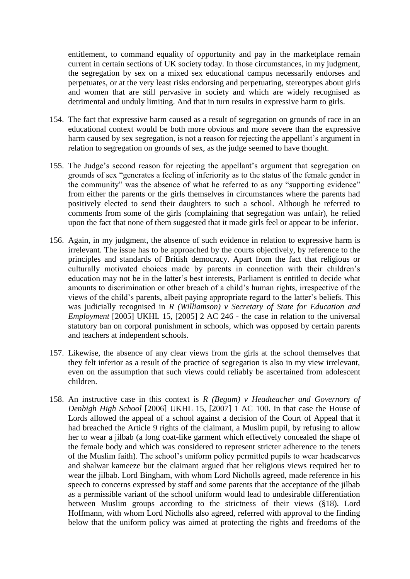entitlement, to command equality of opportunity and pay in the marketplace remain current in certain sections of UK society today. In those circumstances, in my judgment, the segregation by sex on a mixed sex educational campus necessarily endorses and perpetuates, or at the very least risks endorsing and perpetuating, stereotypes about girls and women that are still pervasive in society and which are widely recognised as detrimental and unduly limiting. And that in turn results in expressive harm to girls.

- 154. The fact that expressive harm caused as a result of segregation on grounds of race in an educational context would be both more obvious and more severe than the expressive harm caused by sex segregation, is not a reason for rejecting the appellant's argument in relation to segregation on grounds of sex, as the judge seemed to have thought.
- 155. The Judge's second reason for rejecting the appellant's argument that segregation on grounds of sex "generates a feeling of inferiority as to the status of the female gender in the community" was the absence of what he referred to as any "supporting evidence" from either the parents or the girls themselves in circumstances where the parents had positively elected to send their daughters to such a school. Although he referred to comments from some of the girls (complaining that segregation was unfair), he relied upon the fact that none of them suggested that it made girls feel or appear to be inferior.
- 156. Again, in my judgment, the absence of such evidence in relation to expressive harm is irrelevant. The issue has to be approached by the courts objectively, by reference to the principles and standards of British democracy. Apart from the fact that religious or culturally motivated choices made by parents in connection with their children's education may not be in the latter's best interests, Parliament is entitled to decide what amounts to discrimination or other breach of a child's human rights, irrespective of the views of the child's parents, albeit paying appropriate regard to the latter's beliefs. This was judicially recognised in *R (Williamson) v Secretary of State for Education and Employment* [2005] UKHL 15, [2005] 2 AC 246 - the case in relation to the universal statutory ban on corporal punishment in schools, which was opposed by certain parents and teachers at independent schools.
- 157. Likewise, the absence of any clear views from the girls at the school themselves that they felt inferior as a result of the practice of segregation is also in my view irrelevant, even on the assumption that such views could reliably be ascertained from adolescent children.
- 158. An instructive case in this context is *R (Begum) v Headteacher and Governors of Denbigh High School* [2006] UKHL 15, [2007] 1 AC 100. In that case the House of Lords allowed the appeal of a school against a decision of the Court of Appeal that it had breached the Article 9 rights of the claimant, a Muslim pupil, by refusing to allow her to wear a jilbab (a long coat-like garment which effectively concealed the shape of the female body and which was considered to represent stricter adherence to the tenets of the Muslim faith). The school's uniform policy permitted pupils to wear headscarves and shalwar kameeze but the claimant argued that her religious views required her to wear the jilbab. Lord Bingham, with whom Lord Nicholls agreed, made reference in his speech to concerns expressed by staff and some parents that the acceptance of the jilbab as a permissible variant of the school uniform would lead to undesirable differentiation between Muslim groups according to the strictness of their views (§18). Lord Hoffmann, with whom Lord Nicholls also agreed, referred with approval to the finding below that the uniform policy was aimed at protecting the rights and freedoms of the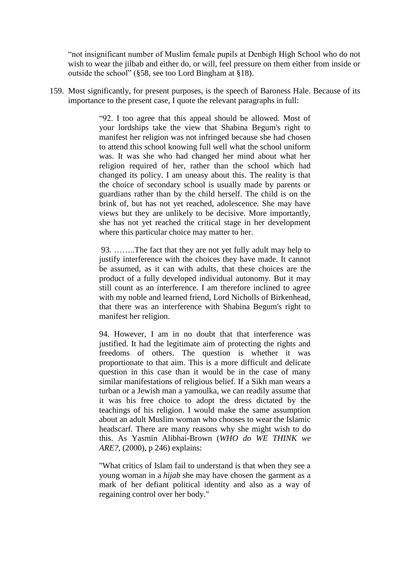"not insignificant number of Muslim female pupils at Denbigh High School who do not wish to wear the jilbab and either do, or will, feel pressure on them either from inside or outside the school" (§58, see too Lord Bingham at §18).

159. Most significantly, for present purposes, is the speech of Baroness Hale. Because of its importance to the present case, I quote the relevant paragraphs in full:

> "92. I too agree that this appeal should be allowed. Most of your lordships take the view that Shabina Begum's right to manifest her religion was not infringed because she had chosen to attend this school knowing full well what the school uniform was. It was she who had changed her mind about what her religion required of her, rather than the school which had changed its policy. I am uneasy about this. The reality is that the choice of secondary school is usually made by parents or guardians rather than by the child herself. The child is on the brink of, but has not yet reached, adolescence. She may have views but they are unlikely to be decisive. More importantly, she has not yet reached the critical stage in her development where this particular choice may matter to her.

> 93. ……..The fact that they are not yet fully adult may help to justify interference with the choices they have made. It cannot be assumed, as it can with adults, that these choices are the product of a fully developed individual autonomy. But it may still count as an interference. I am therefore inclined to agree with my noble and learned friend, Lord Nicholls of Birkenhead, that there was an interference with Shabina Begum's right to manifest her religion.

> 94. However, I am in no doubt that that interference was justified. It had the legitimate aim of protecting the rights and freedoms of others. The question is whether it was proportionate to that aim. This is a more difficult and delicate question in this case than it would be in the case of many similar manifestations of religious belief. If a Sikh man wears a turban or a Jewish man a yamoulka, we can readily assume that it was his free choice to adopt the dress dictated by the teachings of his religion. I would make the same assumption about an adult Muslim woman who chooses to wear the Islamic headscarf. There are many reasons why she might wish to do this. As Yasmin Alibhai-Brown (*WHO do WE THINK we ARE?,* (2000), p 246) explains:

> "What critics of Islam fail to understand is that when they see a young woman in a *hijab* she may have chosen the garment as a mark of her defiant political identity and also as a way of regaining control over her body."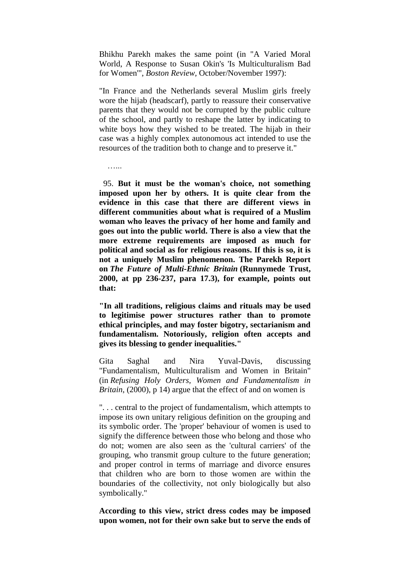Bhikhu Parekh makes the same point (in "A Varied Moral World, A Response to Susan Okin's 'Is Multiculturalism Bad for Women'", *Boston Review,* October/November 1997):

"In France and the Netherlands several Muslim girls freely wore the hijab (headscarf), partly to reassure their conservative parents that they would not be corrupted by the public culture of the school, and partly to reshape the latter by indicating to white boys how they wished to be treated. The hijab in their case was a highly complex autonomous act intended to use the resources of the tradition both to change and to preserve it."

……

 95. **But it must be the woman's choice, not something imposed upon her by others. It is quite clear from the evidence in this case that there are different views in different communities about what is required of a Muslim woman who leaves the privacy of her home and family and goes out into the public world. There is also a view that the more extreme requirements are imposed as much for political and social as for religious reasons. If this is so, it is not a uniquely Muslim phenomenon. The Parekh Report on** *The Future of Multi-Ethnic Britain* **(Runnymede Trust, 2000, at pp 236-237, para 17.3), for example, points out that:**

**"In all traditions, religious claims and rituals may be used to legitimise power structures rather than to promote ethical principles, and may foster bigotry, sectarianism and fundamentalism. Notoriously, religion often accepts and gives its blessing to gender inequalities."**

Gita Saghal and Nira Yuval-Davis, discussing "Fundamentalism, Multiculturalism and Women in Britain" (in *Refusing Holy Orders, Women and Fundamentalism in Britain*, (2000), p 14) argue that the effect of and on women is

". . . central to the project of fundamentalism, which attempts to impose its own unitary religious definition on the grouping and its symbolic order. The 'proper' behaviour of women is used to signify the difference between those who belong and those who do not; women are also seen as the 'cultural carriers' of the grouping, who transmit group culture to the future generation; and proper control in terms of marriage and divorce ensures that children who are born to those women are within the boundaries of the collectivity, not only biologically but also symbolically."

**According to this view, strict dress codes may be imposed upon women, not for their own sake but to serve the ends of**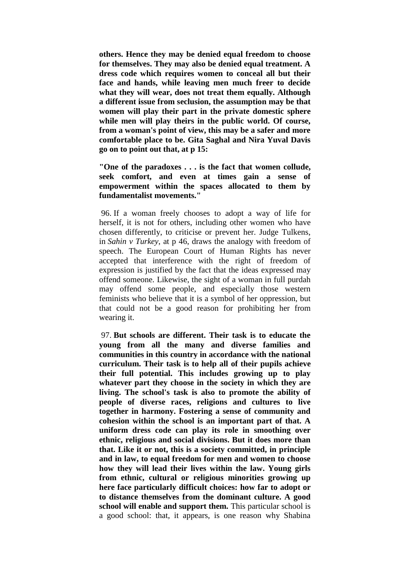**others. Hence they may be denied equal freedom to choose for themselves. They may also be denied equal treatment. A dress code which requires women to conceal all but their face and hands, while leaving men much freer to decide what they will wear, does not treat them equally. Although a different issue from seclusion, the assumption may be that women will play their part in the private domestic sphere while men will play theirs in the public world. Of course, from a woman's point of view, this may be a safer and more comfortable place to be. Gita Saghal and Nira Yuval Davis go on to point out that, at p 15:**

**"One of the paradoxes . . . is the fact that women collude, seek comfort, and even at times gain a sense of empowerment within the spaces allocated to them by fundamentalist movements."**

96. If a woman freely chooses to adopt a way of life for herself, it is not for others, including other women who have chosen differently, to criticise or prevent her. Judge Tulkens, in *Sahin v Turkey*, at p 46, draws the analogy with freedom of speech. The European Court of Human Rights has never accepted that interference with the right of freedom of expression is justified by the fact that the ideas expressed may offend someone. Likewise, the sight of a woman in full purdah may offend some people, and especially those western feminists who believe that it is a symbol of her oppression, but that could not be a good reason for prohibiting her from wearing it.

97. **But schools are different. Their task is to educate the young from all the many and diverse families and communities in this country in accordance with the national curriculum. Their task is to help all of their pupils achieve their full potential. This includes growing up to play whatever part they choose in the society in which they are living. The school's task is also to promote the ability of people of diverse races, religions and cultures to live together in harmony. Fostering a sense of community and cohesion within the school is an important part of that. A uniform dress code can play its role in smoothing over ethnic, religious and social divisions. But it does more than that. Like it or not, this is a society committed, in principle and in law, to equal freedom for men and women to choose how they will lead their lives within the law. Young girls from ethnic, cultural or religious minorities growing up here face particularly difficult choices: how far to adopt or to distance themselves from the dominant culture. A good school will enable and support them.** This particular school is a good school: that, it appears, is one reason why Shabina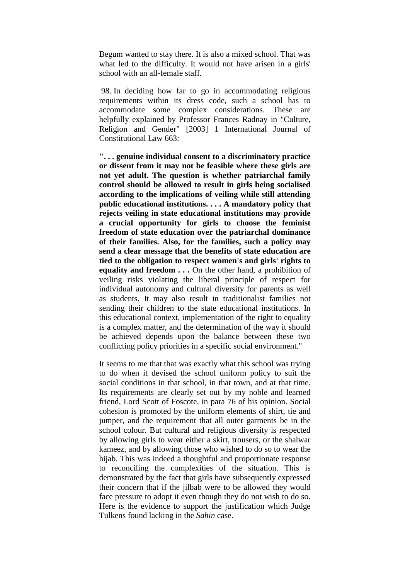Begum wanted to stay there. It is also a mixed school. That was what led to the difficulty. It would not have arisen in a girls' school with an all-female staff.

98. In deciding how far to go in accommodating religious requirements within its dress code, such a school has to accommodate some complex considerations. These are helpfully explained by Professor Frances Radnay in "Culture, Religion and Gender" [2003] 1 International Journal of Constitutional Law 663:

**". . . genuine individual consent to a discriminatory practice or dissent from it may not be feasible where these girls are not yet adult. The question is whether patriarchal family control should be allowed to result in girls being socialised according to the implications of veiling while still attending public educational institutions. . . . A mandatory policy that rejects veiling in state educational institutions may provide a crucial opportunity for girls to choose the feminist freedom of state education over the patriarchal dominance of their families. Also, for the families, such a policy may send a clear message that the benefits of state education are tied to the obligation to respect women's and girls' rights to equality and freedom . . .** On the other hand, a prohibition of veiling risks violating the liberal principle of respect for individual autonomy and cultural diversity for parents as well as students. It may also result in traditionalist families not sending their children to the state educational institutions. In this educational context, implementation of the right to equality is a complex matter, and the determination of the way it should be achieved depends upon the balance between these two conflicting policy priorities in a specific social environment."

It seems to me that that was exactly what this school was trying to do when it devised the school uniform policy to suit the social conditions in that school, in that town, and at that time. Its requirements are clearly set out by my noble and learned friend, Lord Scott of Foscote, in para 76 of his opinion. Social cohesion is promoted by the uniform elements of shirt, tie and jumper, and the requirement that all outer garments be in the school colour. But cultural and religious diversity is respected by allowing girls to wear either a skirt, trousers, or the shalwar kameez, and by allowing those who wished to do so to wear the hijab. This was indeed a thoughtful and proportionate response to reconciling the complexities of the situation. This is demonstrated by the fact that girls have subsequently expressed their concern that if the jilbab were to be allowed they would face pressure to adopt it even though they do not wish to do so. Here is the evidence to support the justification which Judge Tulkens found lacking in the *Sahin* case.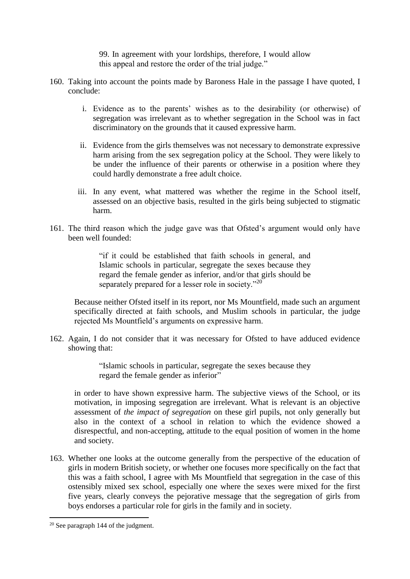99. In agreement with your lordships, therefore, I would allow this appeal and restore the order of the trial judge."

- 160. Taking into account the points made by Baroness Hale in the passage I have quoted, I conclude:
	- i. Evidence as to the parents' wishes as to the desirability (or otherwise) of segregation was irrelevant as to whether segregation in the School was in fact discriminatory on the grounds that it caused expressive harm.
	- ii. Evidence from the girls themselves was not necessary to demonstrate expressive harm arising from the sex segregation policy at the School. They were likely to be under the influence of their parents or otherwise in a position where they could hardly demonstrate a free adult choice.
	- iii. In any event, what mattered was whether the regime in the School itself, assessed on an objective basis, resulted in the girls being subjected to stigmatic harm.
- 161. The third reason which the judge gave was that Ofsted's argument would only have been well founded:

"if it could be established that faith schools in general, and Islamic schools in particular, segregate the sexes because they regard the female gender as inferior, and/or that girls should be separately prepared for a lesser role in society."<sup>20</sup>

Because neither Ofsted itself in its report, nor Ms Mountfield, made such an argument specifically directed at faith schools, and Muslim schools in particular, the judge rejected Ms Mountfield's arguments on expressive harm.

162. Again, I do not consider that it was necessary for Ofsted to have adduced evidence showing that:

> "Islamic schools in particular, segregate the sexes because they regard the female gender as inferior"

in order to have shown expressive harm. The subjective views of the School, or its motivation, in imposing segregation are irrelevant. What is relevant is an objective assessment of *the impact of segregation* on these girl pupils, not only generally but also in the context of a school in relation to which the evidence showed a disrespectful, and non-accepting, attitude to the equal position of women in the home and society.

163. Whether one looks at the outcome generally from the perspective of the education of girls in modern British society, or whether one focuses more specifically on the fact that this was a faith school, I agree with Ms Mountfield that segregation in the case of this ostensibly mixed sex school, especially one where the sexes were mixed for the first five years, clearly conveys the pejorative message that the segregation of girls from boys endorses a particular role for girls in the family and in society.

1

<sup>20</sup> See paragraph 144 of the judgment.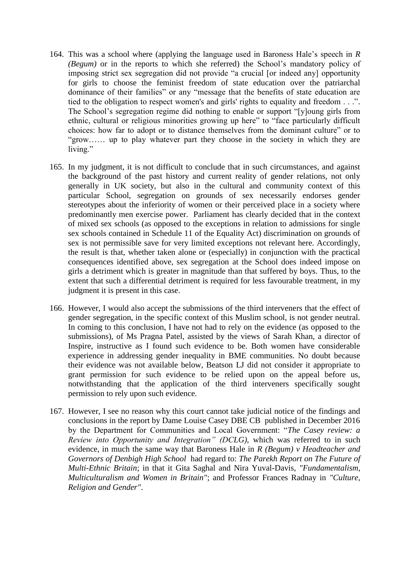- 164. This was a school where (applying the language used in Baroness Hale's speech in *R (Begum)* or in the reports to which she referred) the School's mandatory policy of imposing strict sex segregation did not provide "a crucial [or indeed any] opportunity for girls to choose the feminist freedom of state education over the patriarchal dominance of their families" or any "message that the benefits of state education are tied to the obligation to respect women's and girls' rights to equality and freedom . . .". The School's segregation regime did nothing to enable or support "[y]oung girls from ethnic, cultural or religious minorities growing up here" to "face particularly difficult choices: how far to adopt or to distance themselves from the dominant culture" or to "grow…… up to play whatever part they choose in the society in which they are living."
- 165. In my judgment, it is not difficult to conclude that in such circumstances, and against the background of the past history and current reality of gender relations, not only generally in UK society, but also in the cultural and community context of this particular School, segregation on grounds of sex necessarily endorses gender stereotypes about the inferiority of women or their perceived place in a society where predominantly men exercise power. Parliament has clearly decided that in the context of mixed sex schools (as opposed to the exceptions in relation to admissions for single sex schools contained in Schedule 11 of the Equality Act) discrimination on grounds of sex is not permissible save for very limited exceptions not relevant here. Accordingly, the result is that, whether taken alone or (especially) in conjunction with the practical consequences identified above, sex segregation at the School does indeed impose on girls a detriment which is greater in magnitude than that suffered by boys. Thus, to the extent that such a differential detriment is required for less favourable treatment, in my judgment it is present in this case.
- 166. However, I would also accept the submissions of the third interveners that the effect of gender segregation, in the specific context of this Muslim school, is not gender neutral. In coming to this conclusion, I have not had to rely on the evidence (as opposed to the submissions), of Ms Pragna Patel, assisted by the views of Sarah Khan, a director of Inspire, instructive as I found such evidence to be. Both women have considerable experience in addressing gender inequality in BME communities. No doubt because their evidence was not available below, Beatson LJ did not consider it appropriate to grant permission for such evidence to be relied upon on the appeal before us, notwithstanding that the application of the third interveners specifically sought permission to rely upon such evidence.
- 167. However, I see no reason why this court cannot take judicial notice of the findings and conclusions in the report by Dame Louise Casey DBE CB published in December 2016 by the Department for Communities and Local Government: "*The Casey review: a Review into Opportunity and Integration" (DCLG)*, which was referred to in such evidence, in much the same way that Baroness Hale in *R (Begum) v Headteacher and Governors of Denbigh High School* had regard to: *The Parekh Report on The Future of Multi-Ethnic Britain*; in that it Gita Saghal and Nira Yuval-Davis, *"Fundamentalism, Multiculturalism and Women in Britain"*; and Professor Frances Radnay in *"Culture, Religion and Gender"*.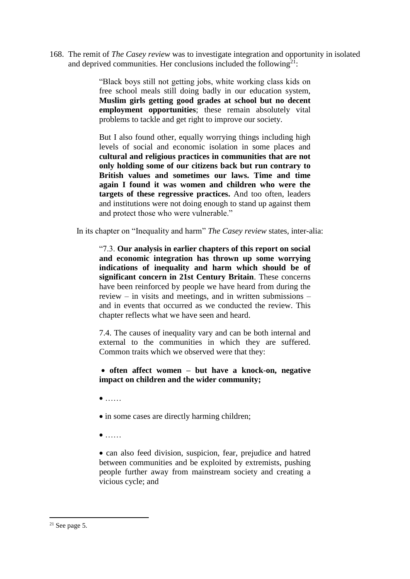168. The remit of *The Casey review* was to investigate integration and opportunity in isolated and deprived communities. Her conclusions included the following<sup>21</sup>:

> "Black boys still not getting jobs, white working class kids on free school meals still doing badly in our education system, **Muslim girls getting good grades at school but no decent employment opportunities**; these remain absolutely vital problems to tackle and get right to improve our society.

> But I also found other, equally worrying things including high levels of social and economic isolation in some places and **cultural and religious practices in communities that are not only holding some of our citizens back but run contrary to British values and sometimes our laws. Time and time again I found it was women and children who were the targets of these regressive practices.** And too often, leaders and institutions were not doing enough to stand up against them and protect those who were vulnerable."

In its chapter on "Inequality and harm" *The Casey review* states, inter-alia:

"7.3. **Our analysis in earlier chapters of this report on social and economic integration has thrown up some worrying indications of inequality and harm which should be of significant concern in 21st Century Britain**. These concerns have been reinforced by people we have heard from during the review – in visits and meetings, and in written submissions – and in events that occurred as we conducted the review. This chapter reflects what we have seen and heard.

7.4. The causes of inequality vary and can be both internal and external to the communities in which they are suffered. Common traits which we observed were that they:

#### • **often affect women – but have a knock-on, negative impact on children and the wider community;**

- $\bullet$  ……
- in some cases are directly harming children;
- $\bullet$  ……

• can also feed division, suspicion, fear, prejudice and hatred between communities and be exploited by extremists, pushing people further away from mainstream society and creating a vicious cycle; and

1

 $21$  See page 5.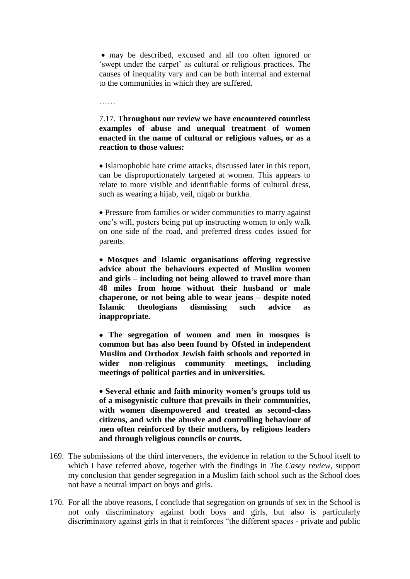• may be described, excused and all too often ignored or 'swept under the carpet' as cultural or religious practices. The causes of inequality vary and can be both internal and external to the communities in which they are suffered.

……

7.17. **Throughout our review we have encountered countless examples of abuse and unequal treatment of women enacted in the name of cultural or religious values, or as a reaction to those values:** 

• Islamophobic hate crime attacks, discussed later in this report, can be disproportionately targeted at women. This appears to relate to more visible and identifiable forms of cultural dress, such as wearing a hijab, veil, niqab or burkha.

• Pressure from families or wider communities to marry against one's will, posters being put up instructing women to only walk on one side of the road, and preferred dress codes issued for parents.

• **Mosques and Islamic organisations offering regressive advice about the behaviours expected of Muslim women and girls – including not being allowed to travel more than 48 miles from home without their husband or male chaperone, or not being able to wear jeans – despite noted Islamic theologians dismissing such advice as inappropriate.** 

• **The segregation of women and men in mosques is common but has also been found by Ofsted in independent Muslim and Orthodox Jewish faith schools and reported in wider non-religious community meetings, including meetings of political parties and in universities.** 

• **Several ethnic and faith minority women's groups told us of a misogynistic culture that prevails in their communities, with women disempowered and treated as second-class citizens, and with the abusive and controlling behaviour of men often reinforced by their mothers, by religious leaders and through religious councils or courts.**

- 169. The submissions of the third interveners, the evidence in relation to the School itself to which I have referred above, together with the findings in *The Casey review,* support my conclusion that gender segregation in a Muslim faith school such as the School does not have a neutral impact on boys and girls.
- 170. For all the above reasons, I conclude that segregation on grounds of sex in the School is not only discriminatory against both boys and girls, but also is particularly discriminatory against girls in that it reinforces "the different spaces - private and public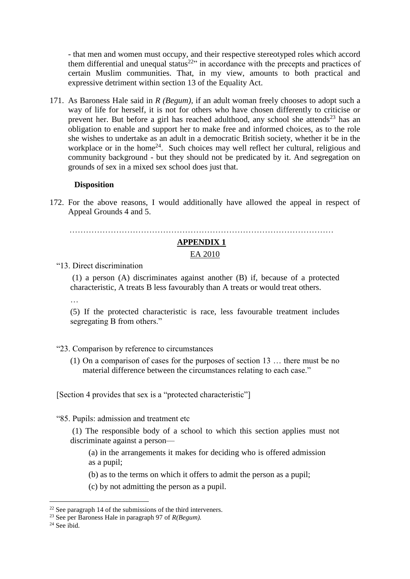- that men and women must occupy, and their respective stereotyped roles which accord them differential and unequal status $^{22}$ " in accordance with the precepts and practices of certain Muslim communities. That, in my view, amounts to both practical and expressive detriment within section 13 of the Equality Act.

171. As Baroness Hale said in *R (Begum),* if an adult woman freely chooses to adopt such a way of life for herself, it is not for others who have chosen differently to criticise or prevent her. But before a girl has reached adulthood, any school she attends<sup>23</sup> has an obligation to enable and support her to make free and informed choices, as to the role she wishes to undertake as an adult in a democratic British society, whether it be in the workplace or in the home<sup>24</sup>. Such choices may well reflect her cultural, religious and community background - but they should not be predicated by it. And segregation on grounds of sex in a mixed sex school does just that.

#### **Disposition**

172. For the above reasons, I would additionally have allowed the appeal in respect of Appeal Grounds 4 and 5.

# …………………………………………………………………………………… **APPENDIX 1** EA 2010

"13. Direct discrimination

(1) a person (A) discriminates against another (B) if, because of a protected characteristic, A treats B less favourably than A treats or would treat others.

…

(5) If the protected characteristic is race, less favourable treatment includes segregating B from others."

#### "23. Comparison by reference to circumstances

(1) On a comparison of cases for the purposes of section 13 … there must be no material difference between the circumstances relating to each case."

[Section 4 provides that sex is a "protected characteristic"]

"85. Pupils: admission and treatment etc

(1) The responsible body of a school to which this section applies must not discriminate against a person—

(a) in the arrangements it makes for deciding who is offered admission as a pupil;

(b) as to the terms on which it offers to admit the person as a pupil;

(c) by not admitting the person as a pupil.

<u>.</u>

 $22$  See paragraph 14 of the submissions of the third interveners.

<sup>23</sup> See per Baroness Hale in paragraph 97 of *R(Begum).*

 $24$  See ibid.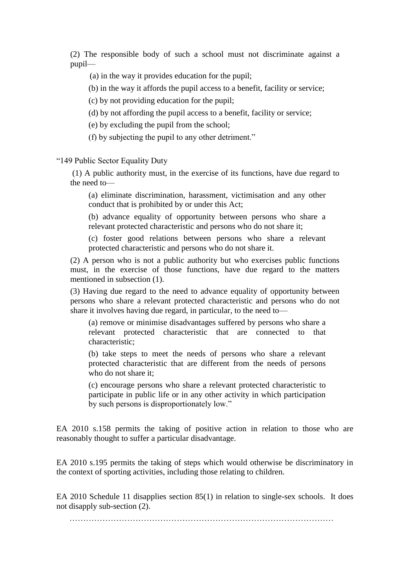(2) The responsible body of such a school must not discriminate against a pupil—

(a) in the way it provides education for the pupil;

(b) in the way it affords the pupil access to a benefit, facility or service;

(c) by not providing education for the pupil;

(d) by not affording the pupil access to a benefit, facility or service;

(e) by excluding the pupil from the school;

(f) by subjecting the pupil to any other detriment."

"149 Public Sector Equality Duty

(1) A public authority must, in the exercise of its functions, have due regard to the need to—

(a) eliminate discrimination, harassment, victimisation and any other conduct that is prohibited by or under this Act;

(b) advance equality of opportunity between persons who share a relevant protected characteristic and persons who do not share it;

(c) foster good relations between persons who share a relevant protected characteristic and persons who do not share it.

(2) A person who is not a public authority but who exercises public functions must, in the exercise of those functions, have due regard to the matters mentioned in subsection (1).

(3) Having due regard to the need to advance equality of opportunity between persons who share a relevant protected characteristic and persons who do not share it involves having due regard, in particular, to the need to—

(a) remove or minimise disadvantages suffered by persons who share a relevant protected characteristic that are connected to that characteristic;

(b) take steps to meet the needs of persons who share a relevant protected characteristic that are different from the needs of persons who do not share it;

(c) encourage persons who share a relevant protected characteristic to participate in public life or in any other activity in which participation by such persons is disproportionately low."

EA 2010 s.158 permits the taking of positive action in relation to those who are reasonably thought to suffer a particular disadvantage.

EA 2010 s.195 permits the taking of steps which would otherwise be discriminatory in the context of sporting activities, including those relating to children.

EA 2010 Schedule 11 disapplies section 85(1) in relation to single-sex schools. It does not disapply sub-section (2).

 $\mathcal{L}^{\text{max}}$